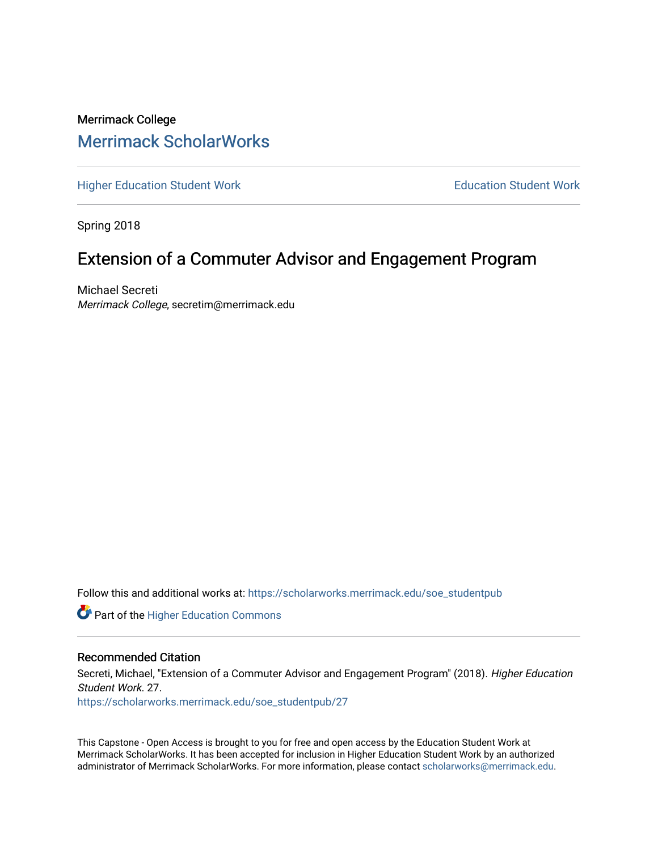# Merrimack College [Merrimack ScholarWorks](https://scholarworks.merrimack.edu/)

[Higher Education Student Work](https://scholarworks.merrimack.edu/soe_studentpub) **Education Student Work** Education Student Work

Spring 2018

# Extension of a Commuter Advisor and Engagement Program

Michael Secreti Merrimack College, secretim@merrimack.edu

Follow this and additional works at: [https://scholarworks.merrimack.edu/soe\\_studentpub](https://scholarworks.merrimack.edu/soe_studentpub?utm_source=scholarworks.merrimack.edu%2Fsoe_studentpub%2F27&utm_medium=PDF&utm_campaign=PDFCoverPages) 

**Part of the Higher Education Commons** 

### Recommended Citation

Secreti, Michael, "Extension of a Commuter Advisor and Engagement Program" (2018). Higher Education Student Work. 27.

[https://scholarworks.merrimack.edu/soe\\_studentpub/27](https://scholarworks.merrimack.edu/soe_studentpub/27?utm_source=scholarworks.merrimack.edu%2Fsoe_studentpub%2F27&utm_medium=PDF&utm_campaign=PDFCoverPages) 

This Capstone - Open Access is brought to you for free and open access by the Education Student Work at Merrimack ScholarWorks. It has been accepted for inclusion in Higher Education Student Work by an authorized administrator of Merrimack ScholarWorks. For more information, please contact [scholarworks@merrimack.edu](mailto:scholarworks@merrimack.edu).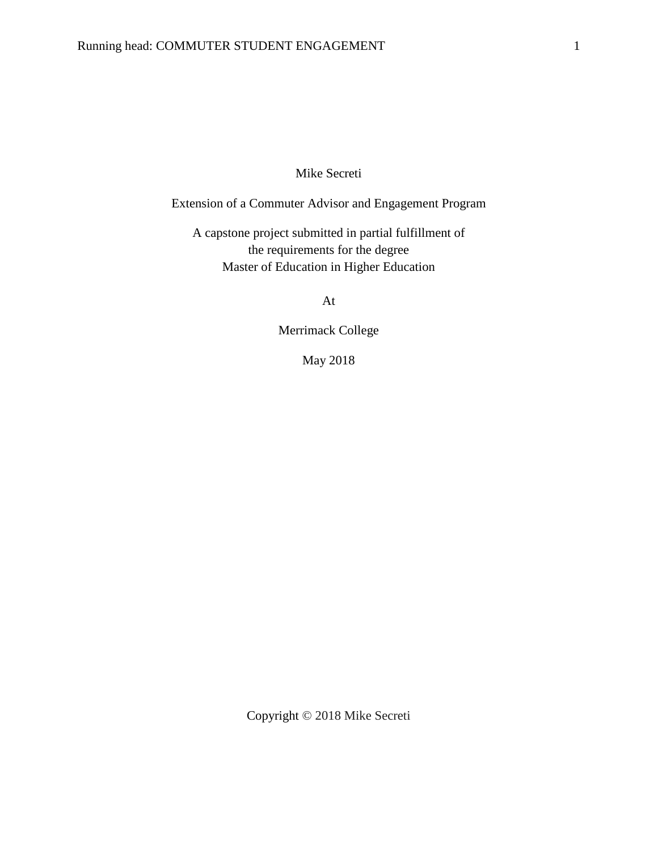# Mike Secreti

Extension of a Commuter Advisor and Engagement Program

A capstone project submitted in partial fulfillment of the requirements for the degree Master of Education in Higher Education

At

Merrimack College

May 2018

Copyright © 2018 Mike Secreti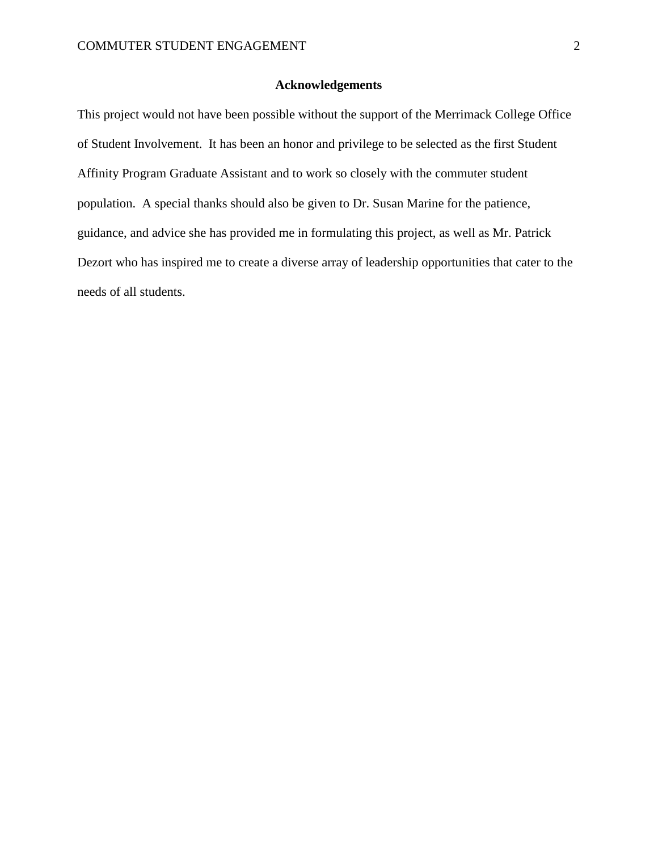### **Acknowledgements**

This project would not have been possible without the support of the Merrimack College Office of Student Involvement. It has been an honor and privilege to be selected as the first Student Affinity Program Graduate Assistant and to work so closely with the commuter student population. A special thanks should also be given to Dr. Susan Marine for the patience, guidance, and advice she has provided me in formulating this project, as well as Mr. Patrick Dezort who has inspired me to create a diverse array of leadership opportunities that cater to the needs of all students.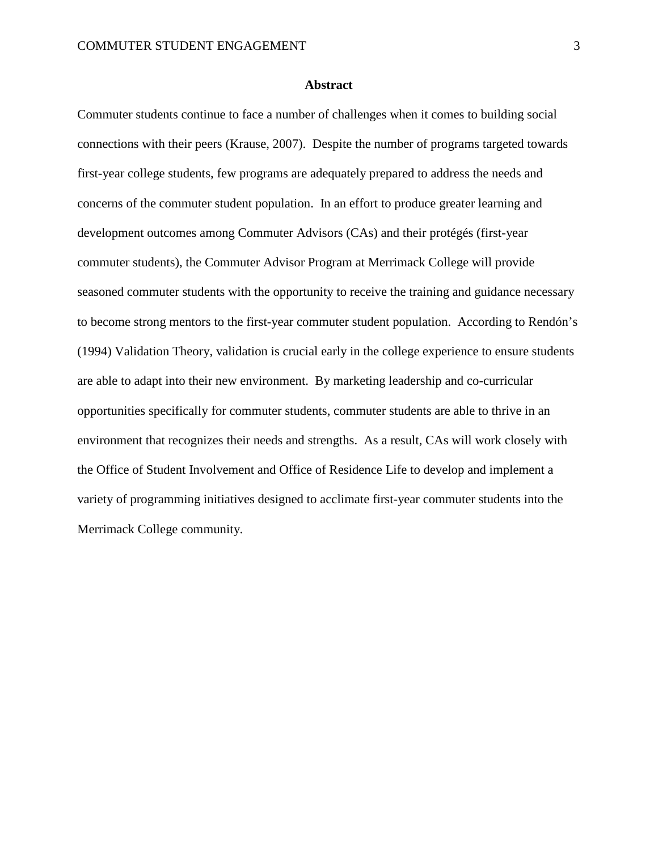#### **Abstract**

Commuter students continue to face a number of challenges when it comes to building social connections with their peers (Krause, 2007). Despite the number of programs targeted towards first-year college students, few programs are adequately prepared to address the needs and concerns of the commuter student population. In an effort to produce greater learning and development outcomes among Commuter Advisors (CAs) and their protégés (first-year commuter students), the Commuter Advisor Program at Merrimack College will provide seasoned commuter students with the opportunity to receive the training and guidance necessary to become strong mentors to the first-year commuter student population. According to Rendón's (1994) Validation Theory, validation is crucial early in the college experience to ensure students are able to adapt into their new environment. By marketing leadership and co-curricular opportunities specifically for commuter students, commuter students are able to thrive in an environment that recognizes their needs and strengths. As a result, CAs will work closely with the Office of Student Involvement and Office of Residence Life to develop and implement a variety of programming initiatives designed to acclimate first-year commuter students into the Merrimack College community.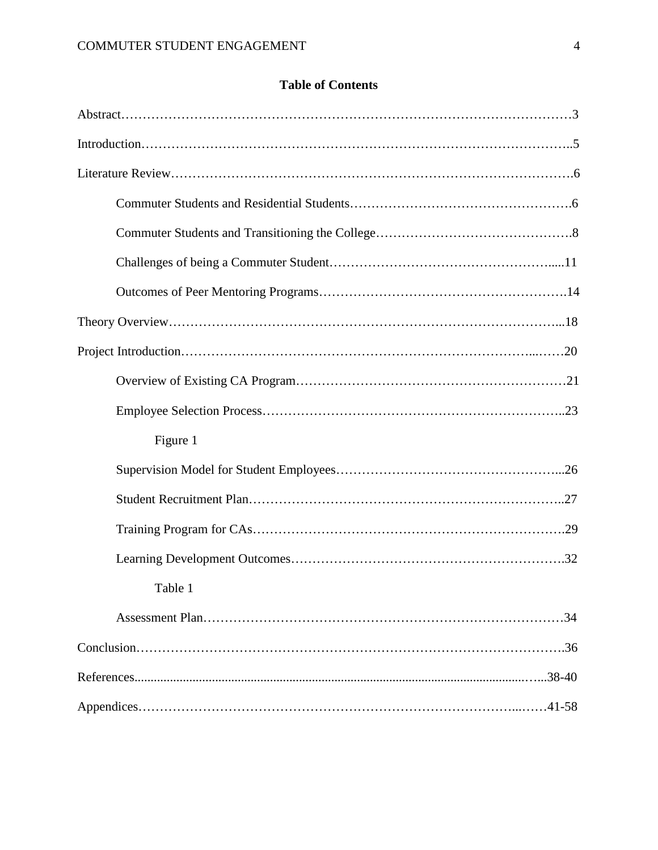# **Table of Contents**

| Figure 1 |
|----------|
|          |
|          |
|          |
|          |
| Table 1  |
|          |
|          |
|          |
|          |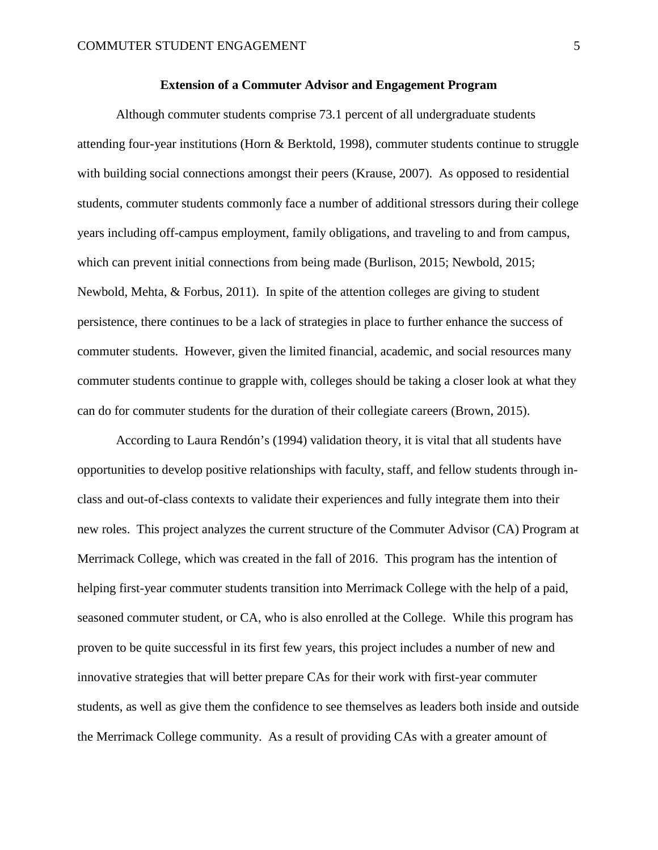### **Extension of a Commuter Advisor and Engagement Program**

 Although commuter students comprise 73.1 percent of all undergraduate students attending four-year institutions (Horn & Berktold, 1998), commuter students continue to struggle with building social connections amongst their peers (Krause, 2007). As opposed to residential students, commuter students commonly face a number of additional stressors during their college years including off-campus employment, family obligations, and traveling to and from campus, which can prevent initial connections from being made (Burlison, 2015; Newbold, 2015; Newbold, Mehta, & Forbus, 2011). In spite of the attention colleges are giving to student persistence, there continues to be a lack of strategies in place to further enhance the success of commuter students. However, given the limited financial, academic, and social resources many commuter students continue to grapple with, colleges should be taking a closer look at what they can do for commuter students for the duration of their collegiate careers (Brown, 2015).

According to Laura Rendón's (1994) validation theory, it is vital that all students have opportunities to develop positive relationships with faculty, staff, and fellow students through inclass and out-of-class contexts to validate their experiences and fully integrate them into their new roles. This project analyzes the current structure of the Commuter Advisor (CA) Program at Merrimack College, which was created in the fall of 2016. This program has the intention of helping first-year commuter students transition into Merrimack College with the help of a paid, seasoned commuter student, or CA, who is also enrolled at the College. While this program has proven to be quite successful in its first few years, this project includes a number of new and innovative strategies that will better prepare CAs for their work with first-year commuter students, as well as give them the confidence to see themselves as leaders both inside and outside the Merrimack College community. As a result of providing CAs with a greater amount of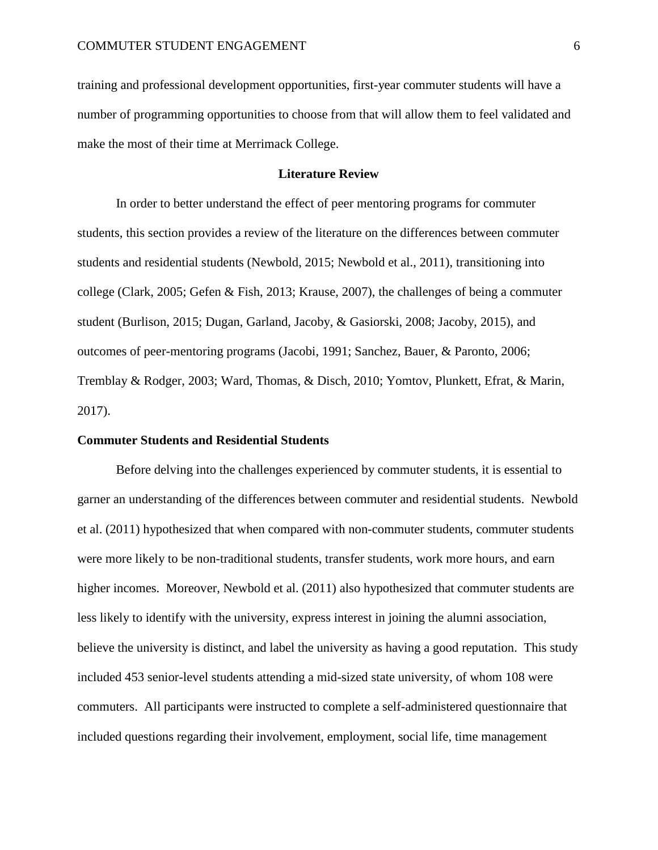training and professional development opportunities, first-year commuter students will have a number of programming opportunities to choose from that will allow them to feel validated and make the most of their time at Merrimack College.

### **Literature Review**

In order to better understand the effect of peer mentoring programs for commuter students, this section provides a review of the literature on the differences between commuter students and residential students (Newbold, 2015; Newbold et al., 2011), transitioning into college (Clark, 2005; Gefen & Fish, 2013; Krause, 2007), the challenges of being a commuter student (Burlison, 2015; Dugan, Garland, Jacoby, & Gasiorski, 2008; Jacoby, 2015), and outcomes of peer-mentoring programs (Jacobi, 1991; Sanchez, Bauer, & Paronto, 2006; Tremblay & Rodger, 2003; Ward, Thomas, & Disch, 2010; Yomtov, Plunkett, Efrat, & Marin, 2017).

### **Commuter Students and Residential Students**

Before delving into the challenges experienced by commuter students, it is essential to garner an understanding of the differences between commuter and residential students. Newbold et al. (2011) hypothesized that when compared with non-commuter students, commuter students were more likely to be non-traditional students, transfer students, work more hours, and earn higher incomes. Moreover, Newbold et al. (2011) also hypothesized that commuter students are less likely to identify with the university, express interest in joining the alumni association, believe the university is distinct, and label the university as having a good reputation. This study included 453 senior-level students attending a mid-sized state university, of whom 108 were commuters. All participants were instructed to complete a self-administered questionnaire that included questions regarding their involvement, employment, social life, time management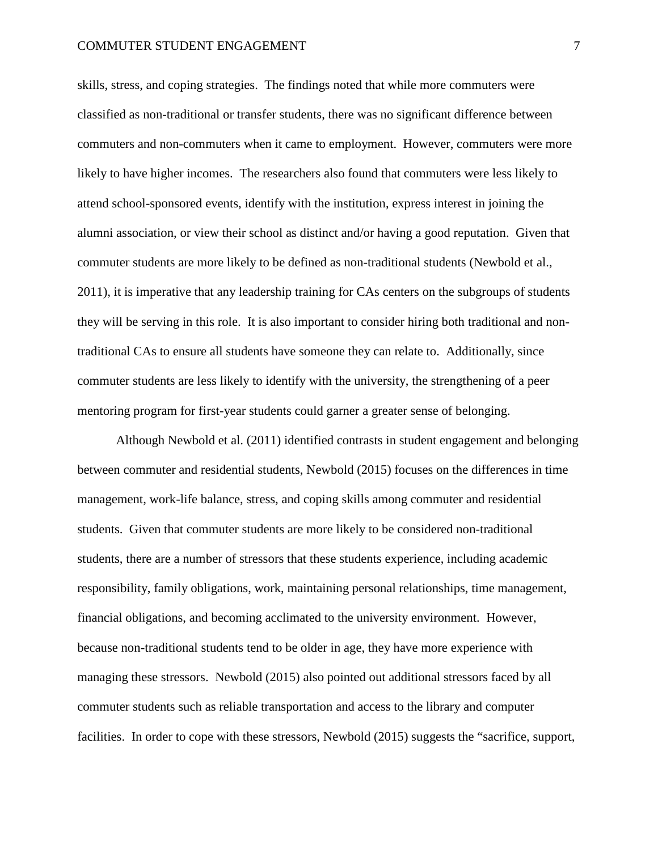skills, stress, and coping strategies. The findings noted that while more commuters were classified as non-traditional or transfer students, there was no significant difference between commuters and non-commuters when it came to employment. However, commuters were more likely to have higher incomes. The researchers also found that commuters were less likely to attend school-sponsored events, identify with the institution, express interest in joining the alumni association, or view their school as distinct and/or having a good reputation. Given that commuter students are more likely to be defined as non-traditional students (Newbold et al., 2011), it is imperative that any leadership training for CAs centers on the subgroups of students they will be serving in this role. It is also important to consider hiring both traditional and nontraditional CAs to ensure all students have someone they can relate to. Additionally, since commuter students are less likely to identify with the university, the strengthening of a peer mentoring program for first-year students could garner a greater sense of belonging.

Although Newbold et al. (2011) identified contrasts in student engagement and belonging between commuter and residential students, Newbold (2015) focuses on the differences in time management, work-life balance, stress, and coping skills among commuter and residential students. Given that commuter students are more likely to be considered non-traditional students, there are a number of stressors that these students experience, including academic responsibility, family obligations, work, maintaining personal relationships, time management, financial obligations, and becoming acclimated to the university environment. However, because non-traditional students tend to be older in age, they have more experience with managing these stressors. Newbold (2015) also pointed out additional stressors faced by all commuter students such as reliable transportation and access to the library and computer facilities. In order to cope with these stressors, Newbold (2015) suggests the "sacrifice, support,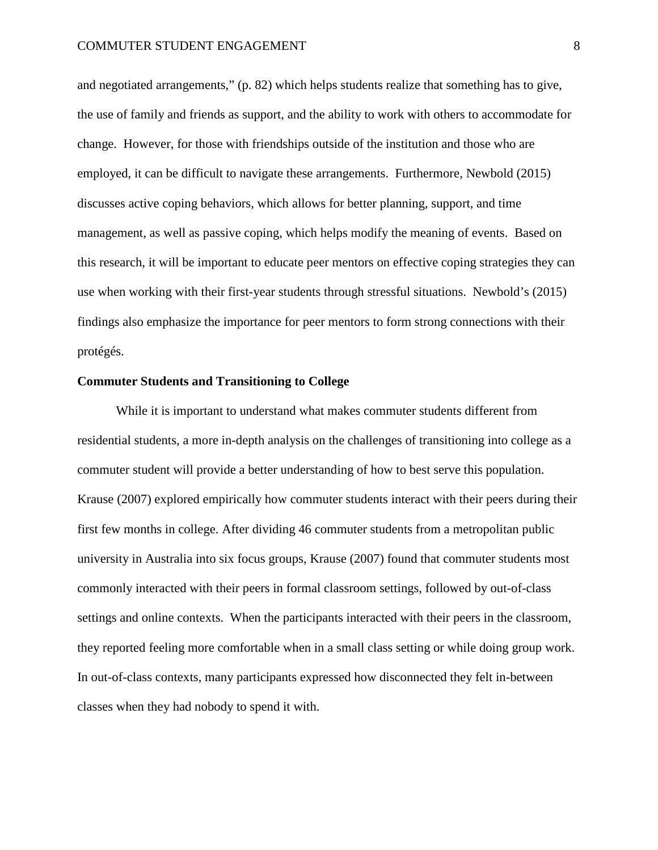and negotiated arrangements," (p. 82) which helps students realize that something has to give, the use of family and friends as support, and the ability to work with others to accommodate for change. However, for those with friendships outside of the institution and those who are employed, it can be difficult to navigate these arrangements. Furthermore, Newbold (2015) discusses active coping behaviors, which allows for better planning, support, and time management, as well as passive coping, which helps modify the meaning of events. Based on this research, it will be important to educate peer mentors on effective coping strategies they can use when working with their first-year students through stressful situations. Newbold's (2015) findings also emphasize the importance for peer mentors to form strong connections with their protégés.

### **Commuter Students and Transitioning to College**

While it is important to understand what makes commuter students different from residential students, a more in-depth analysis on the challenges of transitioning into college as a commuter student will provide a better understanding of how to best serve this population. Krause (2007) explored empirically how commuter students interact with their peers during their first few months in college. After dividing 46 commuter students from a metropolitan public university in Australia into six focus groups, Krause (2007) found that commuter students most commonly interacted with their peers in formal classroom settings, followed by out-of-class settings and online contexts. When the participants interacted with their peers in the classroom, they reported feeling more comfortable when in a small class setting or while doing group work. In out-of-class contexts, many participants expressed how disconnected they felt in-between classes when they had nobody to spend it with.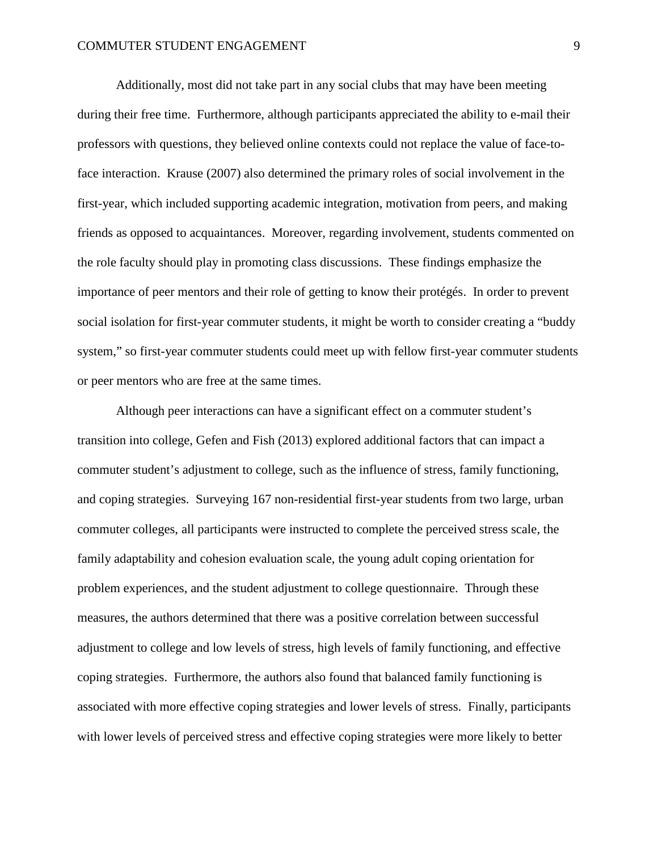Additionally, most did not take part in any social clubs that may have been meeting during their free time. Furthermore, although participants appreciated the ability to e-mail their professors with questions, they believed online contexts could not replace the value of face-toface interaction. Krause (2007) also determined the primary roles of social involvement in the first-year, which included supporting academic integration, motivation from peers, and making friends as opposed to acquaintances. Moreover, regarding involvement, students commented on the role faculty should play in promoting class discussions. These findings emphasize the importance of peer mentors and their role of getting to know their protégés. In order to prevent social isolation for first-year commuter students, it might be worth to consider creating a "buddy system," so first-year commuter students could meet up with fellow first-year commuter students or peer mentors who are free at the same times.

Although peer interactions can have a significant effect on a commuter student's transition into college, Gefen and Fish (2013) explored additional factors that can impact a commuter student's adjustment to college, such as the influence of stress, family functioning, and coping strategies. Surveying 167 non-residential first-year students from two large, urban commuter colleges, all participants were instructed to complete the perceived stress scale, the family adaptability and cohesion evaluation scale, the young adult coping orientation for problem experiences, and the student adjustment to college questionnaire. Through these measures, the authors determined that there was a positive correlation between successful adjustment to college and low levels of stress, high levels of family functioning, and effective coping strategies. Furthermore, the authors also found that balanced family functioning is associated with more effective coping strategies and lower levels of stress. Finally, participants with lower levels of perceived stress and effective coping strategies were more likely to better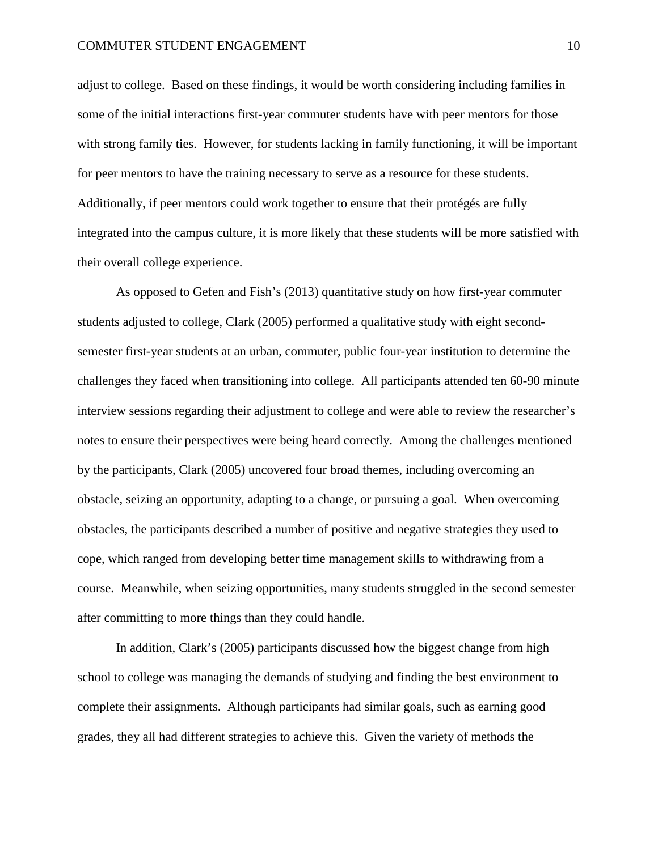adjust to college. Based on these findings, it would be worth considering including families in some of the initial interactions first-year commuter students have with peer mentors for those with strong family ties. However, for students lacking in family functioning, it will be important for peer mentors to have the training necessary to serve as a resource for these students. Additionally, if peer mentors could work together to ensure that their protégés are fully integrated into the campus culture, it is more likely that these students will be more satisfied with their overall college experience.

As opposed to Gefen and Fish's (2013) quantitative study on how first-year commuter students adjusted to college, Clark (2005) performed a qualitative study with eight secondsemester first-year students at an urban, commuter, public four-year institution to determine the challenges they faced when transitioning into college. All participants attended ten 60-90 minute interview sessions regarding their adjustment to college and were able to review the researcher's notes to ensure their perspectives were being heard correctly. Among the challenges mentioned by the participants, Clark (2005) uncovered four broad themes, including overcoming an obstacle, seizing an opportunity, adapting to a change, or pursuing a goal. When overcoming obstacles, the participants described a number of positive and negative strategies they used to cope, which ranged from developing better time management skills to withdrawing from a course. Meanwhile, when seizing opportunities, many students struggled in the second semester after committing to more things than they could handle.

In addition, Clark's (2005) participants discussed how the biggest change from high school to college was managing the demands of studying and finding the best environment to complete their assignments. Although participants had similar goals, such as earning good grades, they all had different strategies to achieve this. Given the variety of methods the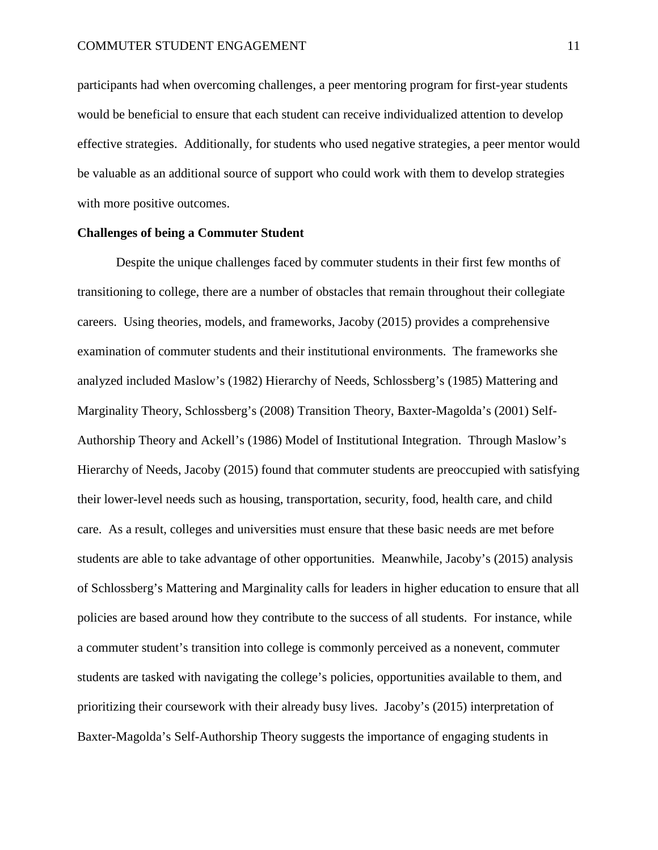participants had when overcoming challenges, a peer mentoring program for first-year students would be beneficial to ensure that each student can receive individualized attention to develop effective strategies. Additionally, for students who used negative strategies, a peer mentor would be valuable as an additional source of support who could work with them to develop strategies with more positive outcomes.

#### **Challenges of being a Commuter Student**

 Despite the unique challenges faced by commuter students in their first few months of transitioning to college, there are a number of obstacles that remain throughout their collegiate careers. Using theories, models, and frameworks, Jacoby (2015) provides a comprehensive examination of commuter students and their institutional environments. The frameworks she analyzed included Maslow's (1982) Hierarchy of Needs, Schlossberg's (1985) Mattering and Marginality Theory, Schlossberg's (2008) Transition Theory, Baxter-Magolda's (2001) Self-Authorship Theory and Ackell's (1986) Model of Institutional Integration. Through Maslow's Hierarchy of Needs, Jacoby (2015) found that commuter students are preoccupied with satisfying their lower-level needs such as housing, transportation, security, food, health care, and child care. As a result, colleges and universities must ensure that these basic needs are met before students are able to take advantage of other opportunities. Meanwhile, Jacoby's (2015) analysis of Schlossberg's Mattering and Marginality calls for leaders in higher education to ensure that all policies are based around how they contribute to the success of all students. For instance, while a commuter student's transition into college is commonly perceived as a nonevent, commuter students are tasked with navigating the college's policies, opportunities available to them, and prioritizing their coursework with their already busy lives. Jacoby's (2015) interpretation of Baxter-Magolda's Self-Authorship Theory suggests the importance of engaging students in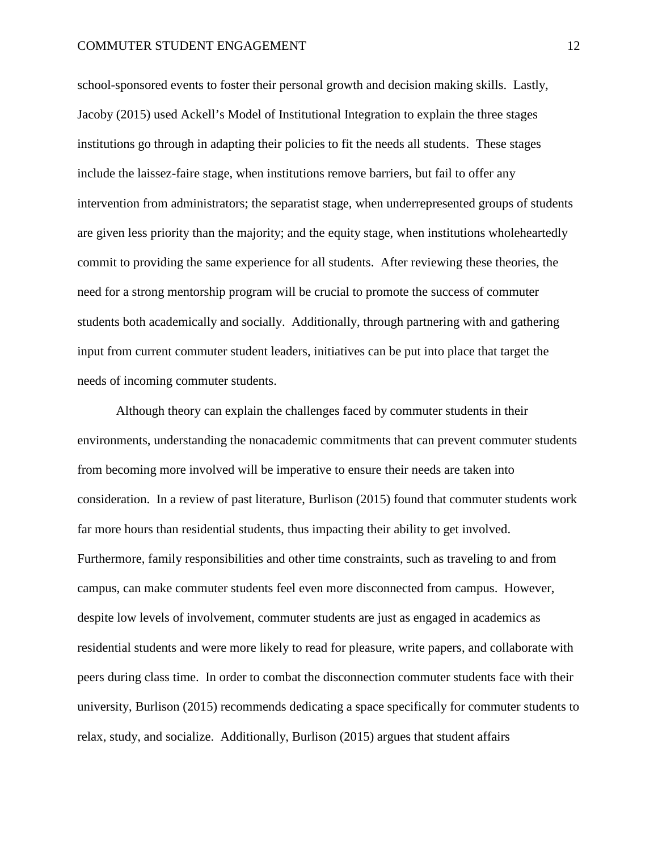school-sponsored events to foster their personal growth and decision making skills. Lastly, Jacoby (2015) used Ackell's Model of Institutional Integration to explain the three stages institutions go through in adapting their policies to fit the needs all students. These stages include the laissez-faire stage, when institutions remove barriers, but fail to offer any intervention from administrators; the separatist stage, when underrepresented groups of students are given less priority than the majority; and the equity stage, when institutions wholeheartedly commit to providing the same experience for all students. After reviewing these theories, the need for a strong mentorship program will be crucial to promote the success of commuter students both academically and socially. Additionally, through partnering with and gathering input from current commuter student leaders, initiatives can be put into place that target the needs of incoming commuter students.

Although theory can explain the challenges faced by commuter students in their environments, understanding the nonacademic commitments that can prevent commuter students from becoming more involved will be imperative to ensure their needs are taken into consideration. In a review of past literature, Burlison (2015) found that commuter students work far more hours than residential students, thus impacting their ability to get involved. Furthermore, family responsibilities and other time constraints, such as traveling to and from campus, can make commuter students feel even more disconnected from campus. However, despite low levels of involvement, commuter students are just as engaged in academics as residential students and were more likely to read for pleasure, write papers, and collaborate with peers during class time. In order to combat the disconnection commuter students face with their university, Burlison (2015) recommends dedicating a space specifically for commuter students to relax, study, and socialize. Additionally, Burlison (2015) argues that student affairs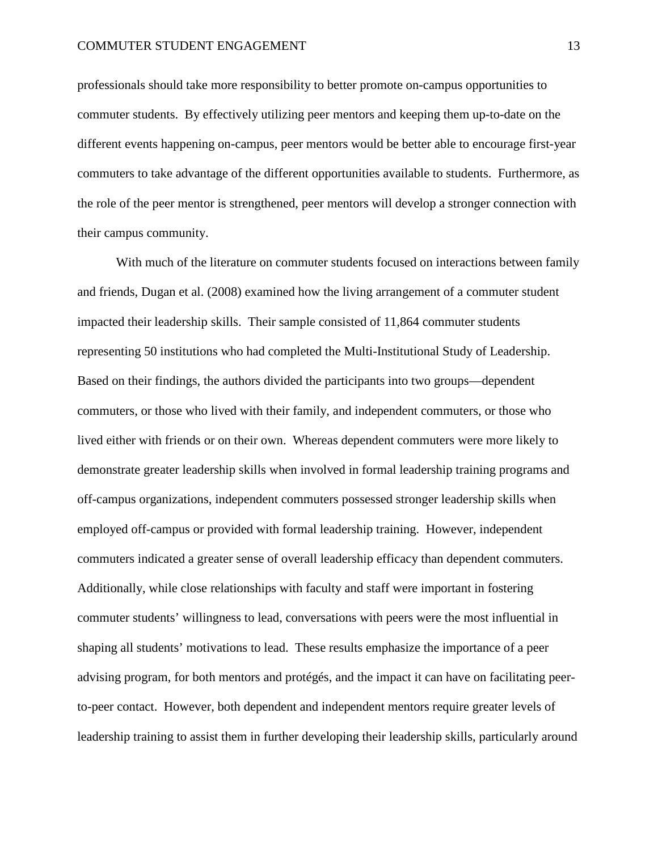professionals should take more responsibility to better promote on-campus opportunities to commuter students. By effectively utilizing peer mentors and keeping them up-to-date on the different events happening on-campus, peer mentors would be better able to encourage first-year commuters to take advantage of the different opportunities available to students. Furthermore, as the role of the peer mentor is strengthened, peer mentors will develop a stronger connection with their campus community.

With much of the literature on commuter students focused on interactions between family and friends, Dugan et al. (2008) examined how the living arrangement of a commuter student impacted their leadership skills. Their sample consisted of 11,864 commuter students representing 50 institutions who had completed the Multi-Institutional Study of Leadership. Based on their findings, the authors divided the participants into two groups—dependent commuters, or those who lived with their family, and independent commuters, or those who lived either with friends or on their own. Whereas dependent commuters were more likely to demonstrate greater leadership skills when involved in formal leadership training programs and off-campus organizations, independent commuters possessed stronger leadership skills when employed off-campus or provided with formal leadership training. However, independent commuters indicated a greater sense of overall leadership efficacy than dependent commuters. Additionally, while close relationships with faculty and staff were important in fostering commuter students' willingness to lead, conversations with peers were the most influential in shaping all students' motivations to lead. These results emphasize the importance of a peer advising program, for both mentors and protégés, and the impact it can have on facilitating peerto-peer contact. However, both dependent and independent mentors require greater levels of leadership training to assist them in further developing their leadership skills, particularly around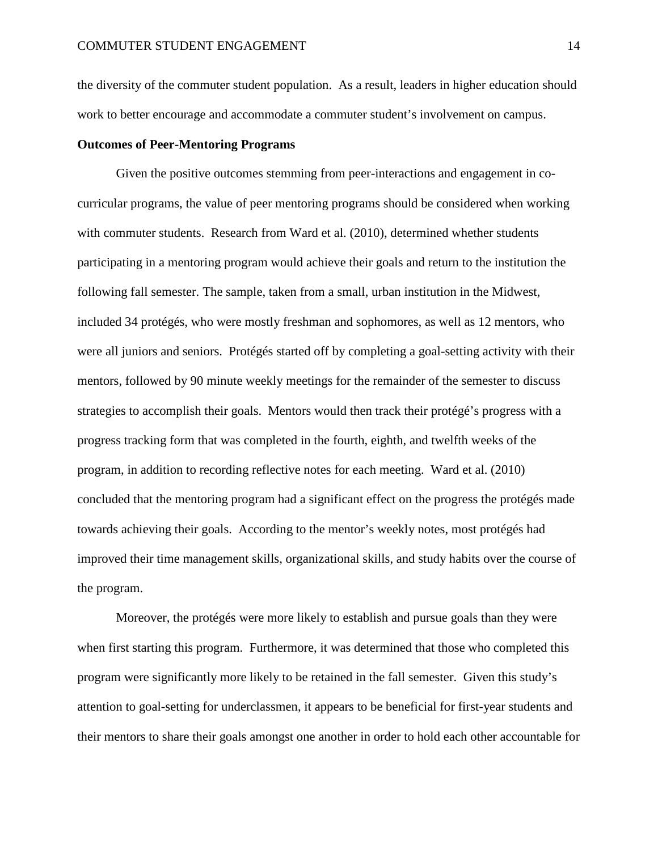the diversity of the commuter student population. As a result, leaders in higher education should work to better encourage and accommodate a commuter student's involvement on campus.

### **Outcomes of Peer-Mentoring Programs**

Given the positive outcomes stemming from peer-interactions and engagement in cocurricular programs, the value of peer mentoring programs should be considered when working with commuter students. Research from Ward et al. (2010), determined whether students participating in a mentoring program would achieve their goals and return to the institution the following fall semester. The sample, taken from a small, urban institution in the Midwest, included 34 protégés, who were mostly freshman and sophomores, as well as 12 mentors, who were all juniors and seniors. Protégés started off by completing a goal-setting activity with their mentors, followed by 90 minute weekly meetings for the remainder of the semester to discuss strategies to accomplish their goals. Mentors would then track their protégé's progress with a progress tracking form that was completed in the fourth, eighth, and twelfth weeks of the program, in addition to recording reflective notes for each meeting. Ward et al. (2010) concluded that the mentoring program had a significant effect on the progress the protégés made towards achieving their goals. According to the mentor's weekly notes, most protégés had improved their time management skills, organizational skills, and study habits over the course of the program.

Moreover, the protégés were more likely to establish and pursue goals than they were when first starting this program. Furthermore, it was determined that those who completed this program were significantly more likely to be retained in the fall semester. Given this study's attention to goal-setting for underclassmen, it appears to be beneficial for first-year students and their mentors to share their goals amongst one another in order to hold each other accountable for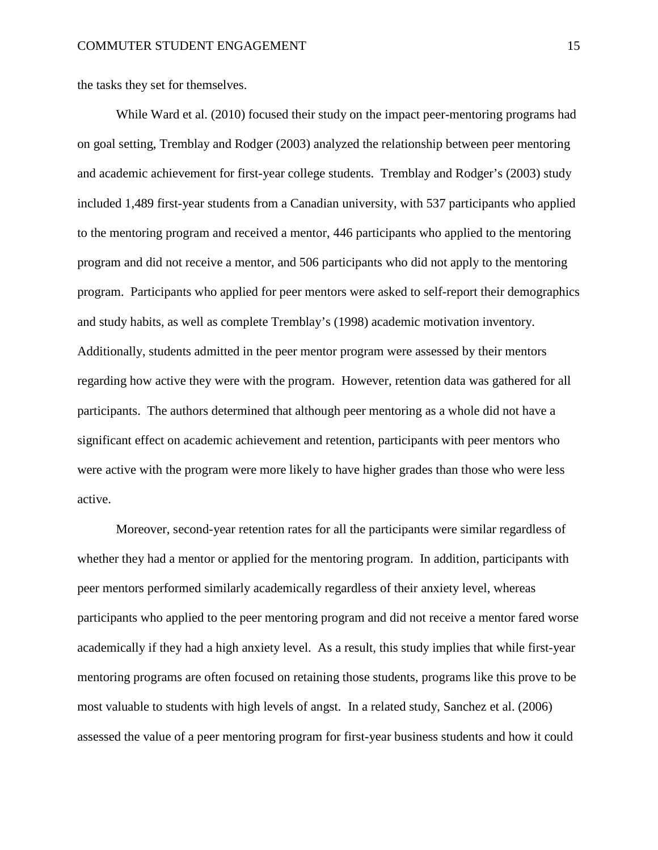the tasks they set for themselves.

While Ward et al. (2010) focused their study on the impact peer-mentoring programs had on goal setting, Tremblay and Rodger (2003) analyzed the relationship between peer mentoring and academic achievement for first-year college students. Tremblay and Rodger's (2003) study included 1,489 first-year students from a Canadian university, with 537 participants who applied to the mentoring program and received a mentor, 446 participants who applied to the mentoring program and did not receive a mentor, and 506 participants who did not apply to the mentoring program. Participants who applied for peer mentors were asked to self-report their demographics and study habits, as well as complete Tremblay's (1998) academic motivation inventory. Additionally, students admitted in the peer mentor program were assessed by their mentors regarding how active they were with the program. However, retention data was gathered for all participants. The authors determined that although peer mentoring as a whole did not have a significant effect on academic achievement and retention, participants with peer mentors who were active with the program were more likely to have higher grades than those who were less active.

Moreover, second-year retention rates for all the participants were similar regardless of whether they had a mentor or applied for the mentoring program. In addition, participants with peer mentors performed similarly academically regardless of their anxiety level, whereas participants who applied to the peer mentoring program and did not receive a mentor fared worse academically if they had a high anxiety level. As a result, this study implies that while first-year mentoring programs are often focused on retaining those students, programs like this prove to be most valuable to students with high levels of angst. In a related study, Sanchez et al. (2006) assessed the value of a peer mentoring program for first-year business students and how it could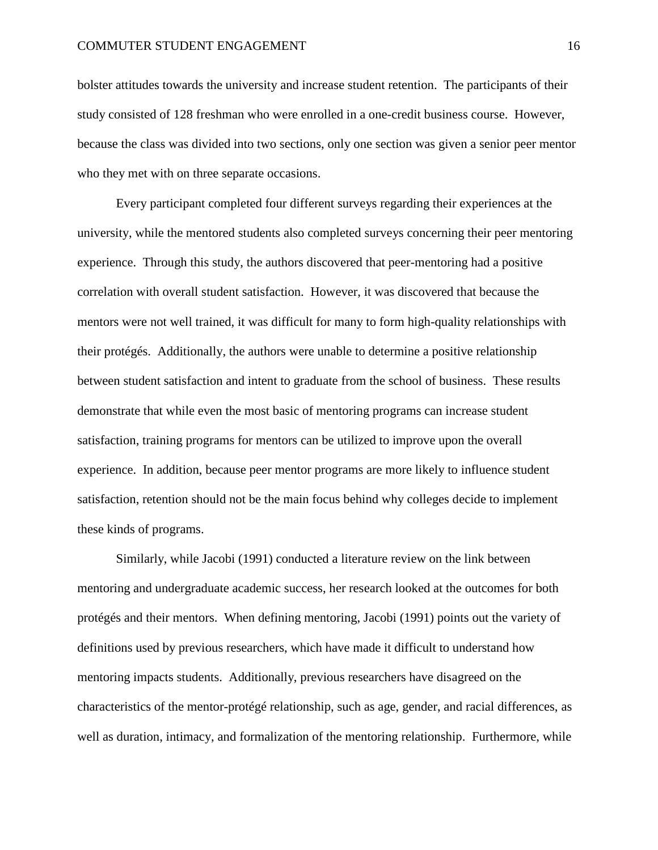bolster attitudes towards the university and increase student retention. The participants of their study consisted of 128 freshman who were enrolled in a one-credit business course. However, because the class was divided into two sections, only one section was given a senior peer mentor who they met with on three separate occasions.

Every participant completed four different surveys regarding their experiences at the university, while the mentored students also completed surveys concerning their peer mentoring experience. Through this study, the authors discovered that peer-mentoring had a positive correlation with overall student satisfaction. However, it was discovered that because the mentors were not well trained, it was difficult for many to form high-quality relationships with their protégés. Additionally, the authors were unable to determine a positive relationship between student satisfaction and intent to graduate from the school of business. These results demonstrate that while even the most basic of mentoring programs can increase student satisfaction, training programs for mentors can be utilized to improve upon the overall experience. In addition, because peer mentor programs are more likely to influence student satisfaction, retention should not be the main focus behind why colleges decide to implement these kinds of programs.

Similarly, while Jacobi (1991) conducted a literature review on the link between mentoring and undergraduate academic success, her research looked at the outcomes for both protégés and their mentors. When defining mentoring, Jacobi (1991) points out the variety of definitions used by previous researchers, which have made it difficult to understand how mentoring impacts students. Additionally, previous researchers have disagreed on the characteristics of the mentor-protégé relationship, such as age, gender, and racial differences, as well as duration, intimacy, and formalization of the mentoring relationship. Furthermore, while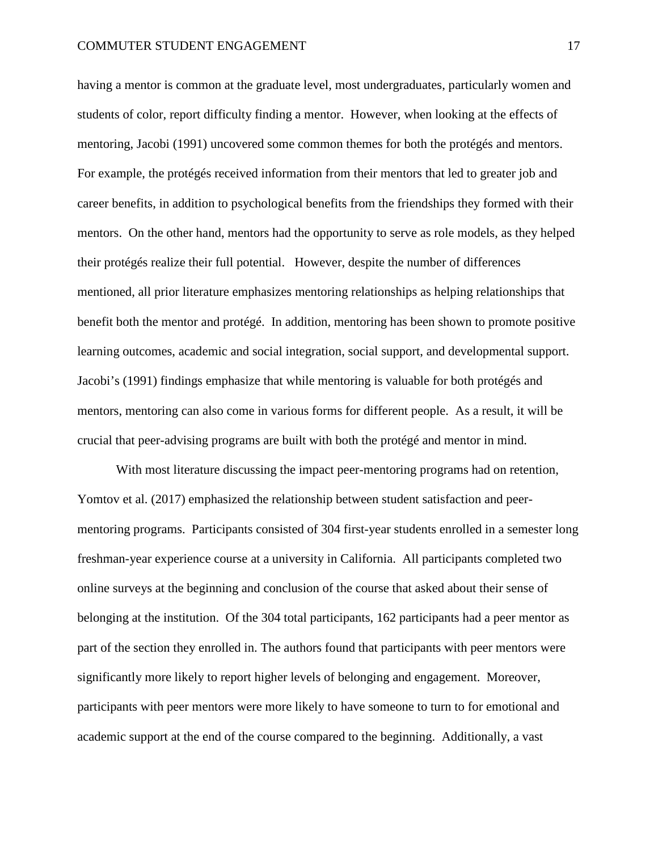having a mentor is common at the graduate level, most undergraduates, particularly women and students of color, report difficulty finding a mentor. However, when looking at the effects of mentoring, Jacobi (1991) uncovered some common themes for both the protégés and mentors. For example, the protégés received information from their mentors that led to greater job and career benefits, in addition to psychological benefits from the friendships they formed with their mentors. On the other hand, mentors had the opportunity to serve as role models, as they helped their protégés realize their full potential. However, despite the number of differences mentioned, all prior literature emphasizes mentoring relationships as helping relationships that benefit both the mentor and protégé. In addition, mentoring has been shown to promote positive learning outcomes, academic and social integration, social support, and developmental support. Jacobi's (1991) findings emphasize that while mentoring is valuable for both protégés and mentors, mentoring can also come in various forms for different people. As a result, it will be crucial that peer-advising programs are built with both the protégé and mentor in mind.

With most literature discussing the impact peer-mentoring programs had on retention, Yomtov et al. (2017) emphasized the relationship between student satisfaction and peermentoring programs. Participants consisted of 304 first-year students enrolled in a semester long freshman-year experience course at a university in California. All participants completed two online surveys at the beginning and conclusion of the course that asked about their sense of belonging at the institution. Of the 304 total participants, 162 participants had a peer mentor as part of the section they enrolled in. The authors found that participants with peer mentors were significantly more likely to report higher levels of belonging and engagement. Moreover, participants with peer mentors were more likely to have someone to turn to for emotional and academic support at the end of the course compared to the beginning. Additionally, a vast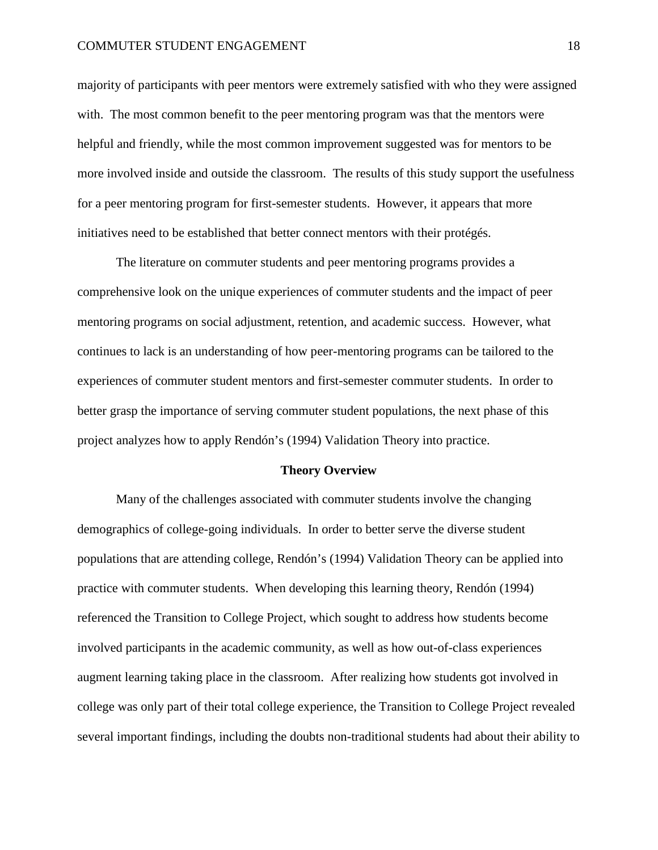majority of participants with peer mentors were extremely satisfied with who they were assigned with. The most common benefit to the peer mentoring program was that the mentors were helpful and friendly, while the most common improvement suggested was for mentors to be more involved inside and outside the classroom. The results of this study support the usefulness for a peer mentoring program for first-semester students. However, it appears that more initiatives need to be established that better connect mentors with their protégés.

The literature on commuter students and peer mentoring programs provides a comprehensive look on the unique experiences of commuter students and the impact of peer mentoring programs on social adjustment, retention, and academic success. However, what continues to lack is an understanding of how peer-mentoring programs can be tailored to the experiences of commuter student mentors and first-semester commuter students. In order to better grasp the importance of serving commuter student populations, the next phase of this project analyzes how to apply Rendón's (1994) Validation Theory into practice.

#### **Theory Overview**

Many of the challenges associated with commuter students involve the changing demographics of college-going individuals. In order to better serve the diverse student populations that are attending college, Rendón's (1994) Validation Theory can be applied into practice with commuter students. When developing this learning theory, Rendón (1994) referenced the Transition to College Project, which sought to address how students become involved participants in the academic community, as well as how out-of-class experiences augment learning taking place in the classroom. After realizing how students got involved in college was only part of their total college experience, the Transition to College Project revealed several important findings, including the doubts non-traditional students had about their ability to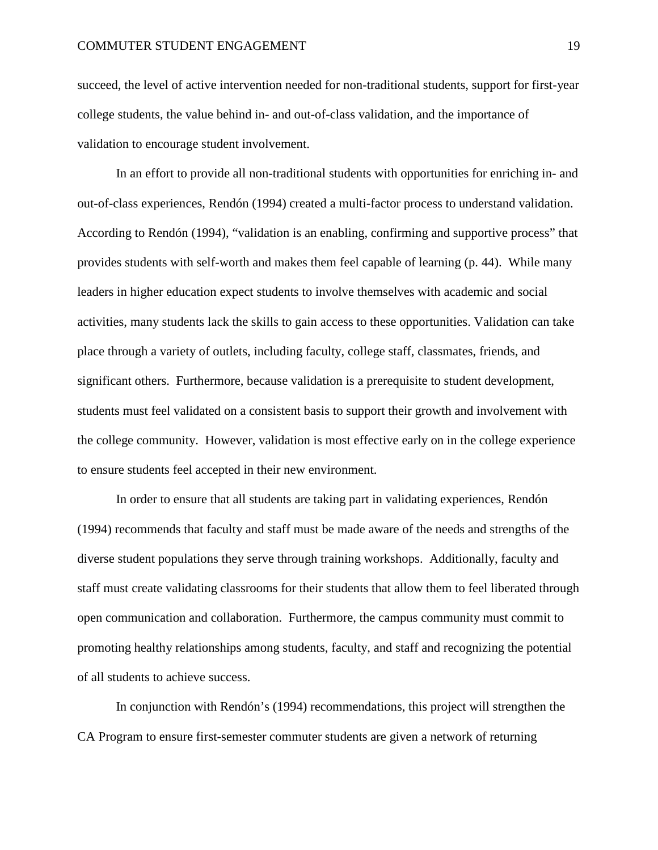succeed, the level of active intervention needed for non-traditional students, support for first-year college students, the value behind in- and out-of-class validation, and the importance of validation to encourage student involvement.

In an effort to provide all non-traditional students with opportunities for enriching in- and out-of-class experiences, Rendón (1994) created a multi-factor process to understand validation. According to Rendón (1994), "validation is an enabling, confirming and supportive process" that provides students with self-worth and makes them feel capable of learning (p. 44). While many leaders in higher education expect students to involve themselves with academic and social activities, many students lack the skills to gain access to these opportunities. Validation can take place through a variety of outlets, including faculty, college staff, classmates, friends, and significant others. Furthermore, because validation is a prerequisite to student development, students must feel validated on a consistent basis to support their growth and involvement with the college community. However, validation is most effective early on in the college experience to ensure students feel accepted in their new environment.

In order to ensure that all students are taking part in validating experiences, Rendón (1994) recommends that faculty and staff must be made aware of the needs and strengths of the diverse student populations they serve through training workshops. Additionally, faculty and staff must create validating classrooms for their students that allow them to feel liberated through open communication and collaboration. Furthermore, the campus community must commit to promoting healthy relationships among students, faculty, and staff and recognizing the potential of all students to achieve success.

In conjunction with Rendón's (1994) recommendations, this project will strengthen the CA Program to ensure first-semester commuter students are given a network of returning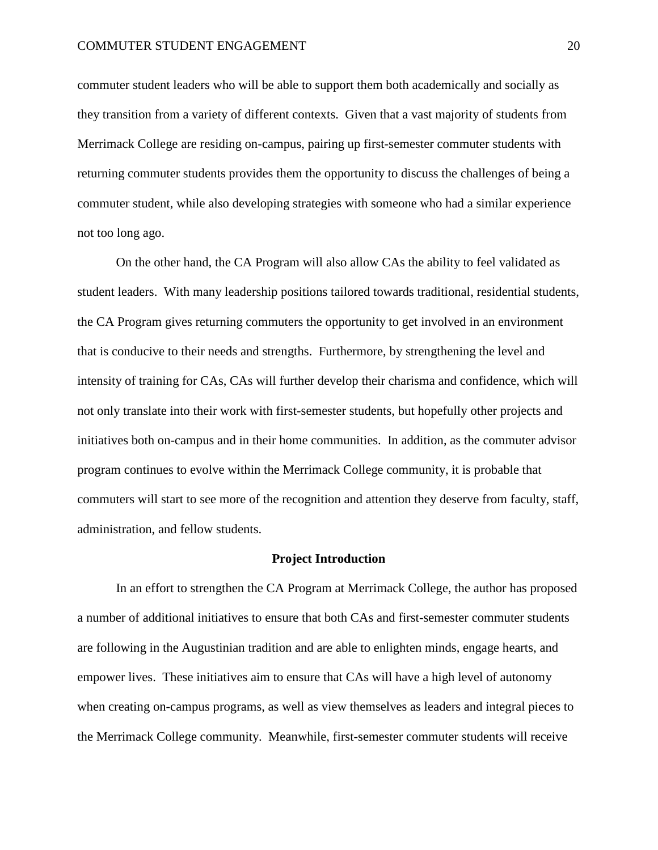commuter student leaders who will be able to support them both academically and socially as they transition from a variety of different contexts. Given that a vast majority of students from Merrimack College are residing on-campus, pairing up first-semester commuter students with returning commuter students provides them the opportunity to discuss the challenges of being a commuter student, while also developing strategies with someone who had a similar experience not too long ago.

On the other hand, the CA Program will also allow CAs the ability to feel validated as student leaders. With many leadership positions tailored towards traditional, residential students, the CA Program gives returning commuters the opportunity to get involved in an environment that is conducive to their needs and strengths. Furthermore, by strengthening the level and intensity of training for CAs, CAs will further develop their charisma and confidence, which will not only translate into their work with first-semester students, but hopefully other projects and initiatives both on-campus and in their home communities. In addition, as the commuter advisor program continues to evolve within the Merrimack College community, it is probable that commuters will start to see more of the recognition and attention they deserve from faculty, staff, administration, and fellow students.

#### **Project Introduction**

In an effort to strengthen the CA Program at Merrimack College, the author has proposed a number of additional initiatives to ensure that both CAs and first-semester commuter students are following in the Augustinian tradition and are able to enlighten minds, engage hearts, and empower lives. These initiatives aim to ensure that CAs will have a high level of autonomy when creating on-campus programs, as well as view themselves as leaders and integral pieces to the Merrimack College community. Meanwhile, first-semester commuter students will receive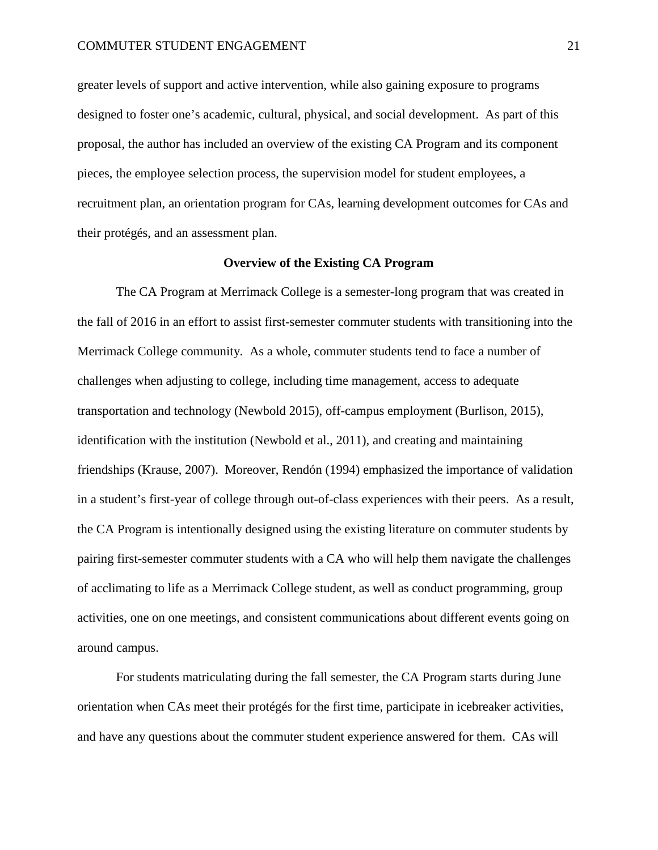greater levels of support and active intervention, while also gaining exposure to programs designed to foster one's academic, cultural, physical, and social development. As part of this proposal, the author has included an overview of the existing CA Program and its component pieces, the employee selection process, the supervision model for student employees, a recruitment plan, an orientation program for CAs, learning development outcomes for CAs and their protégés, and an assessment plan.

#### **Overview of the Existing CA Program**

The CA Program at Merrimack College is a semester-long program that was created in the fall of 2016 in an effort to assist first-semester commuter students with transitioning into the Merrimack College community. As a whole, commuter students tend to face a number of challenges when adjusting to college, including time management, access to adequate transportation and technology (Newbold 2015), off-campus employment (Burlison, 2015), identification with the institution (Newbold et al., 2011), and creating and maintaining friendships (Krause, 2007). Moreover, Rendón (1994) emphasized the importance of validation in a student's first-year of college through out-of-class experiences with their peers. As a result, the CA Program is intentionally designed using the existing literature on commuter students by pairing first-semester commuter students with a CA who will help them navigate the challenges of acclimating to life as a Merrimack College student, as well as conduct programming, group activities, one on one meetings, and consistent communications about different events going on around campus.

For students matriculating during the fall semester, the CA Program starts during June orientation when CAs meet their protégés for the first time, participate in icebreaker activities, and have any questions about the commuter student experience answered for them. CAs will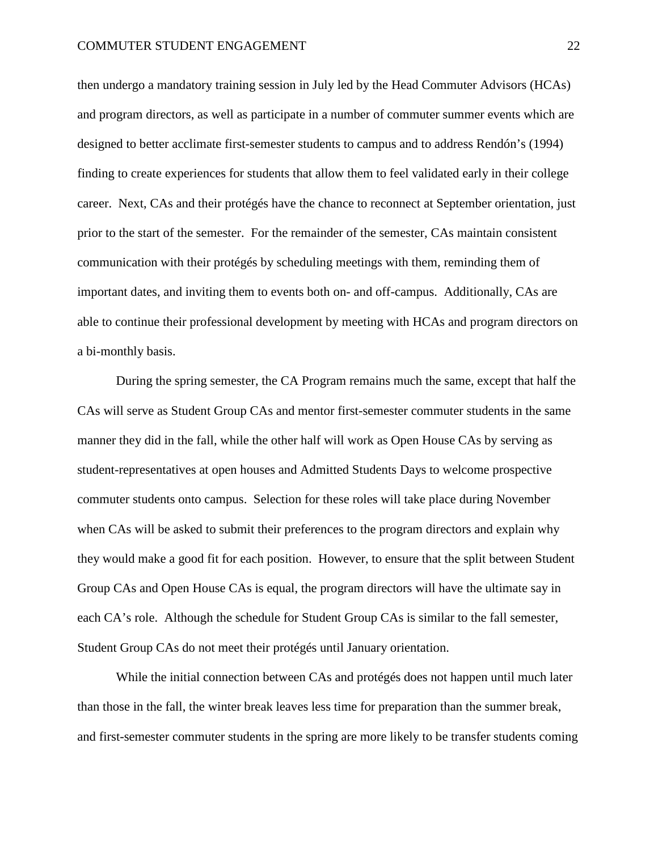then undergo a mandatory training session in July led by the Head Commuter Advisors (HCAs) and program directors, as well as participate in a number of commuter summer events which are designed to better acclimate first-semester students to campus and to address Rendón's (1994) finding to create experiences for students that allow them to feel validated early in their college career. Next, CAs and their protégés have the chance to reconnect at September orientation, just prior to the start of the semester. For the remainder of the semester, CAs maintain consistent communication with their protégés by scheduling meetings with them, reminding them of important dates, and inviting them to events both on- and off-campus. Additionally, CAs are able to continue their professional development by meeting with HCAs and program directors on a bi-monthly basis.

During the spring semester, the CA Program remains much the same, except that half the CAs will serve as Student Group CAs and mentor first-semester commuter students in the same manner they did in the fall, while the other half will work as Open House CAs by serving as student-representatives at open houses and Admitted Students Days to welcome prospective commuter students onto campus. Selection for these roles will take place during November when CAs will be asked to submit their preferences to the program directors and explain why they would make a good fit for each position. However, to ensure that the split between Student Group CAs and Open House CAs is equal, the program directors will have the ultimate say in each CA's role. Although the schedule for Student Group CAs is similar to the fall semester, Student Group CAs do not meet their protégés until January orientation.

While the initial connection between CAs and protégés does not happen until much later than those in the fall, the winter break leaves less time for preparation than the summer break, and first-semester commuter students in the spring are more likely to be transfer students coming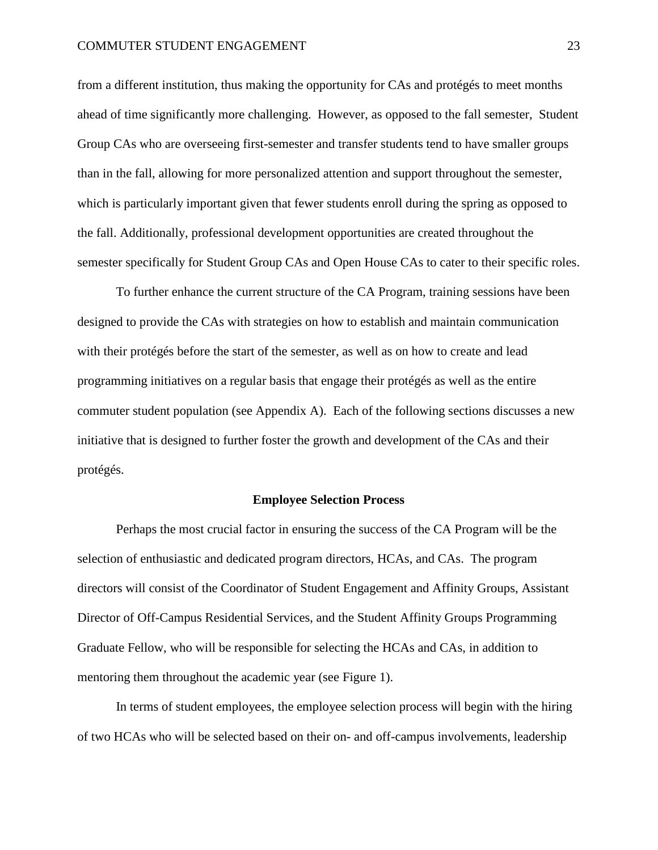from a different institution, thus making the opportunity for CAs and protégés to meet months ahead of time significantly more challenging. However, as opposed to the fall semester, Student Group CAs who are overseeing first-semester and transfer students tend to have smaller groups than in the fall, allowing for more personalized attention and support throughout the semester, which is particularly important given that fewer students enroll during the spring as opposed to the fall. Additionally, professional development opportunities are created throughout the semester specifically for Student Group CAs and Open House CAs to cater to their specific roles.

To further enhance the current structure of the CA Program, training sessions have been designed to provide the CAs with strategies on how to establish and maintain communication with their protégés before the start of the semester, as well as on how to create and lead programming initiatives on a regular basis that engage their protégés as well as the entire commuter student population (see Appendix A). Each of the following sections discusses a new initiative that is designed to further foster the growth and development of the CAs and their protégés.

#### **Employee Selection Process**

Perhaps the most crucial factor in ensuring the success of the CA Program will be the selection of enthusiastic and dedicated program directors, HCAs, and CAs. The program directors will consist of the Coordinator of Student Engagement and Affinity Groups, Assistant Director of Off-Campus Residential Services, and the Student Affinity Groups Programming Graduate Fellow, who will be responsible for selecting the HCAs and CAs, in addition to mentoring them throughout the academic year (see Figure 1).

In terms of student employees, the employee selection process will begin with the hiring of two HCAs who will be selected based on their on- and off-campus involvements, leadership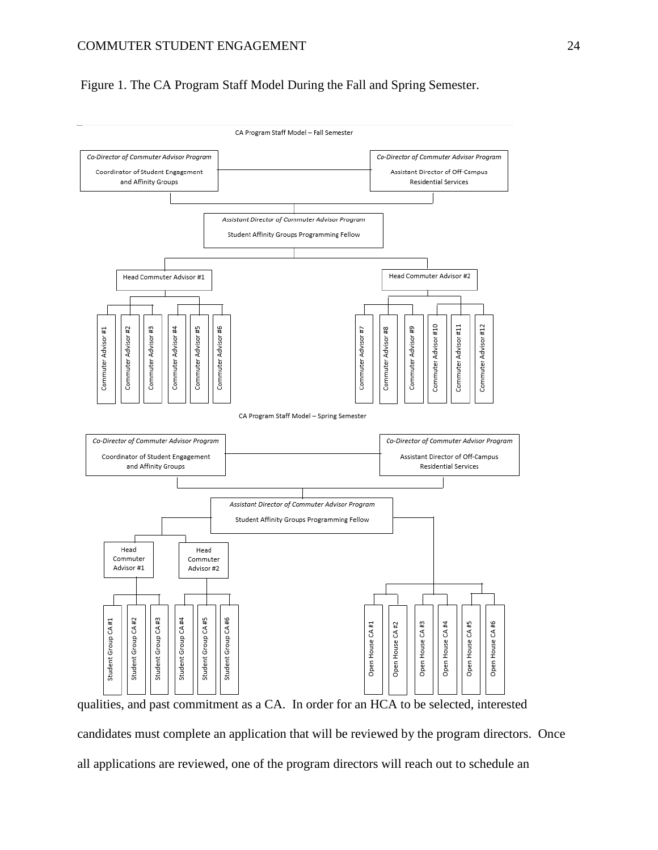Figure 1. The CA Program Staff Model During the Fall and Spring Semester.



candidates must complete an application that will be reviewed by the program directors. Once all applications are reviewed, one of the program directors will reach out to schedule an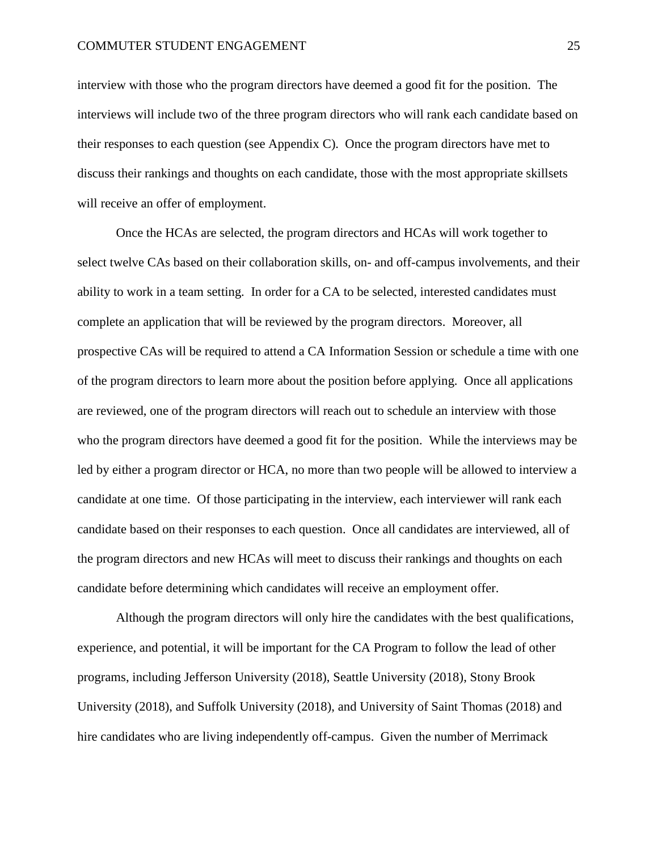interview with those who the program directors have deemed a good fit for the position. The interviews will include two of the three program directors who will rank each candidate based on their responses to each question (see Appendix C). Once the program directors have met to discuss their rankings and thoughts on each candidate, those with the most appropriate skillsets will receive an offer of employment.

Once the HCAs are selected, the program directors and HCAs will work together to select twelve CAs based on their collaboration skills, on- and off-campus involvements, and their ability to work in a team setting. In order for a CA to be selected, interested candidates must complete an application that will be reviewed by the program directors. Moreover, all prospective CAs will be required to attend a CA Information Session or schedule a time with one of the program directors to learn more about the position before applying. Once all applications are reviewed, one of the program directors will reach out to schedule an interview with those who the program directors have deemed a good fit for the position. While the interviews may be led by either a program director or HCA, no more than two people will be allowed to interview a candidate at one time. Of those participating in the interview, each interviewer will rank each candidate based on their responses to each question. Once all candidates are interviewed, all of the program directors and new HCAs will meet to discuss their rankings and thoughts on each candidate before determining which candidates will receive an employment offer.

Although the program directors will only hire the candidates with the best qualifications, experience, and potential, it will be important for the CA Program to follow the lead of other programs, including Jefferson University (2018), Seattle University (2018), Stony Brook University (2018), and Suffolk University (2018), and University of Saint Thomas (2018) and hire candidates who are living independently off-campus. Given the number of Merrimack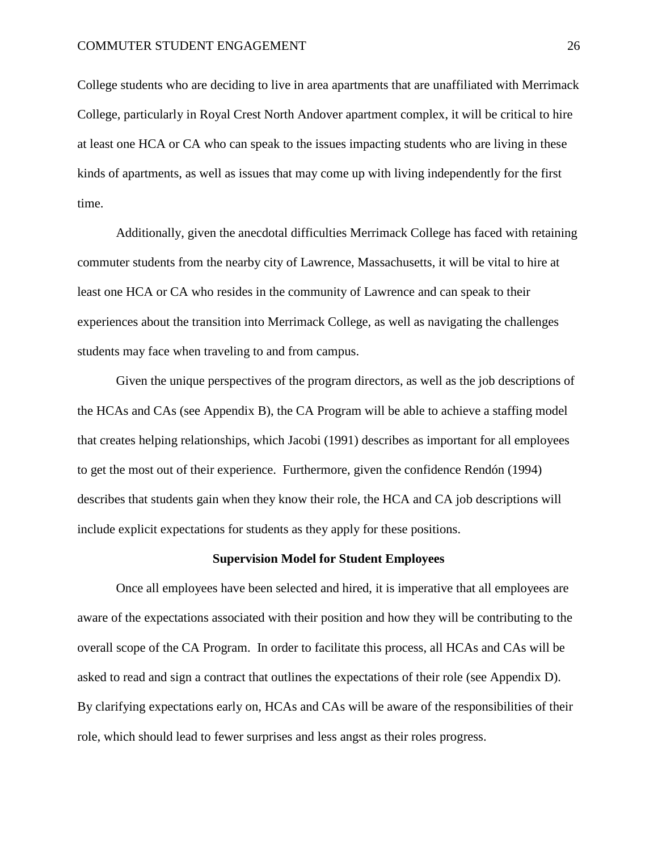College students who are deciding to live in area apartments that are unaffiliated with Merrimack College, particularly in Royal Crest North Andover apartment complex, it will be critical to hire at least one HCA or CA who can speak to the issues impacting students who are living in these kinds of apartments, as well as issues that may come up with living independently for the first time.

Additionally, given the anecdotal difficulties Merrimack College has faced with retaining commuter students from the nearby city of Lawrence, Massachusetts, it will be vital to hire at least one HCA or CA who resides in the community of Lawrence and can speak to their experiences about the transition into Merrimack College, as well as navigating the challenges students may face when traveling to and from campus.

Given the unique perspectives of the program directors, as well as the job descriptions of the HCAs and CAs (see Appendix B), the CA Program will be able to achieve a staffing model that creates helping relationships, which Jacobi (1991) describes as important for all employees to get the most out of their experience. Furthermore, given the confidence Rendón (1994) describes that students gain when they know their role, the HCA and CA job descriptions will include explicit expectations for students as they apply for these positions.

#### **Supervision Model for Student Employees**

Once all employees have been selected and hired, it is imperative that all employees are aware of the expectations associated with their position and how they will be contributing to the overall scope of the CA Program. In order to facilitate this process, all HCAs and CAs will be asked to read and sign a contract that outlines the expectations of their role (see Appendix D). By clarifying expectations early on, HCAs and CAs will be aware of the responsibilities of their role, which should lead to fewer surprises and less angst as their roles progress.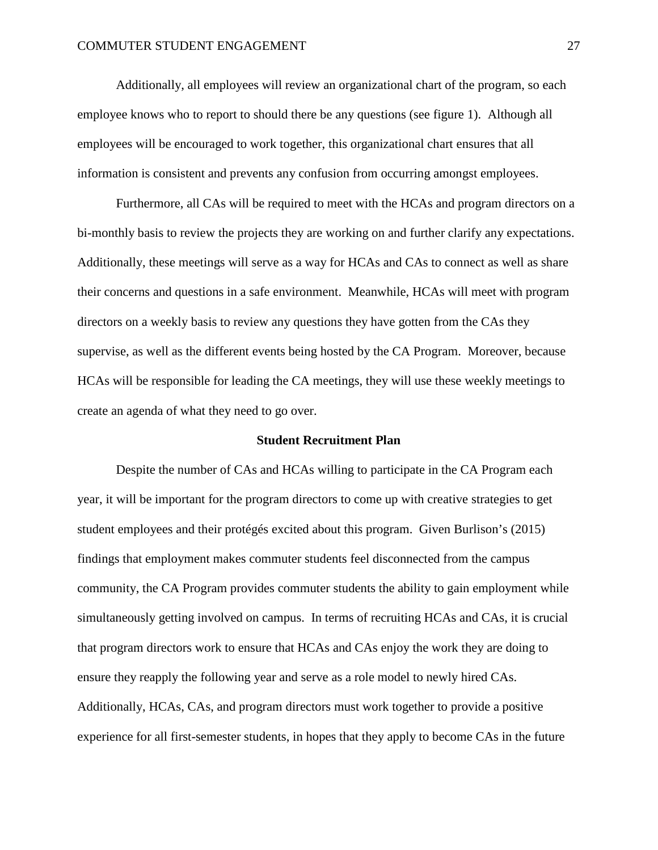Additionally, all employees will review an organizational chart of the program, so each employee knows who to report to should there be any questions (see figure 1). Although all employees will be encouraged to work together, this organizational chart ensures that all information is consistent and prevents any confusion from occurring amongst employees.

Furthermore, all CAs will be required to meet with the HCAs and program directors on a bi-monthly basis to review the projects they are working on and further clarify any expectations. Additionally, these meetings will serve as a way for HCAs and CAs to connect as well as share their concerns and questions in a safe environment. Meanwhile, HCAs will meet with program directors on a weekly basis to review any questions they have gotten from the CAs they supervise, as well as the different events being hosted by the CA Program. Moreover, because HCAs will be responsible for leading the CA meetings, they will use these weekly meetings to create an agenda of what they need to go over.

#### **Student Recruitment Plan**

Despite the number of CAs and HCAs willing to participate in the CA Program each year, it will be important for the program directors to come up with creative strategies to get student employees and their protégés excited about this program. Given Burlison's (2015) findings that employment makes commuter students feel disconnected from the campus community, the CA Program provides commuter students the ability to gain employment while simultaneously getting involved on campus. In terms of recruiting HCAs and CAs, it is crucial that program directors work to ensure that HCAs and CAs enjoy the work they are doing to ensure they reapply the following year and serve as a role model to newly hired CAs. Additionally, HCAs, CAs, and program directors must work together to provide a positive experience for all first-semester students, in hopes that they apply to become CAs in the future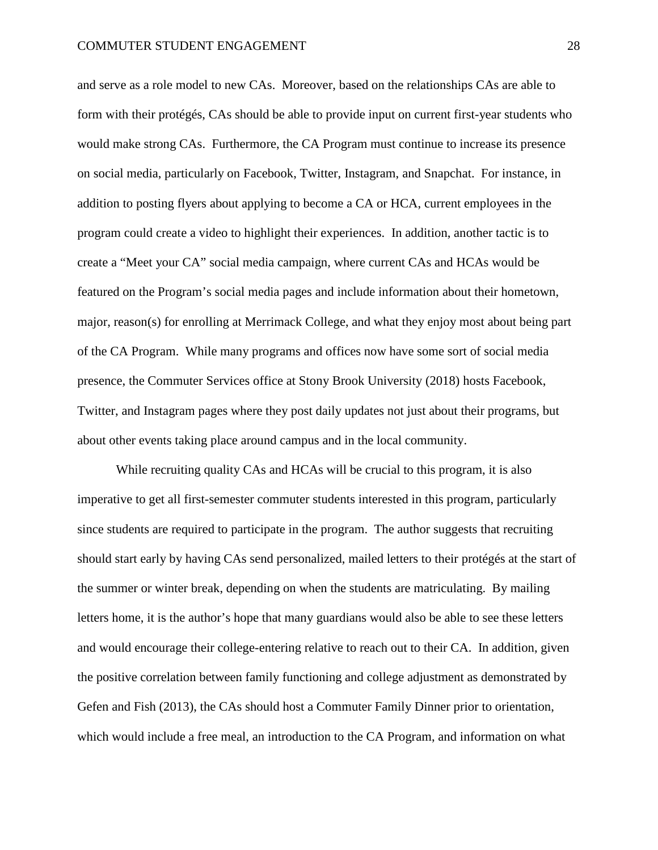and serve as a role model to new CAs. Moreover, based on the relationships CAs are able to form with their protégés, CAs should be able to provide input on current first-year students who would make strong CAs. Furthermore, the CA Program must continue to increase its presence on social media, particularly on Facebook, Twitter, Instagram, and Snapchat. For instance, in addition to posting flyers about applying to become a CA or HCA, current employees in the program could create a video to highlight their experiences. In addition, another tactic is to create a "Meet your CA" social media campaign, where current CAs and HCAs would be featured on the Program's social media pages and include information about their hometown, major, reason(s) for enrolling at Merrimack College, and what they enjoy most about being part of the CA Program. While many programs and offices now have some sort of social media presence, the Commuter Services office at Stony Brook University (2018) hosts Facebook, Twitter, and Instagram pages where they post daily updates not just about their programs, but about other events taking place around campus and in the local community.

While recruiting quality CAs and HCAs will be crucial to this program, it is also imperative to get all first-semester commuter students interested in this program, particularly since students are required to participate in the program. The author suggests that recruiting should start early by having CAs send personalized, mailed letters to their protégés at the start of the summer or winter break, depending on when the students are matriculating. By mailing letters home, it is the author's hope that many guardians would also be able to see these letters and would encourage their college-entering relative to reach out to their CA. In addition, given the positive correlation between family functioning and college adjustment as demonstrated by Gefen and Fish (2013), the CAs should host a Commuter Family Dinner prior to orientation, which would include a free meal, an introduction to the CA Program, and information on what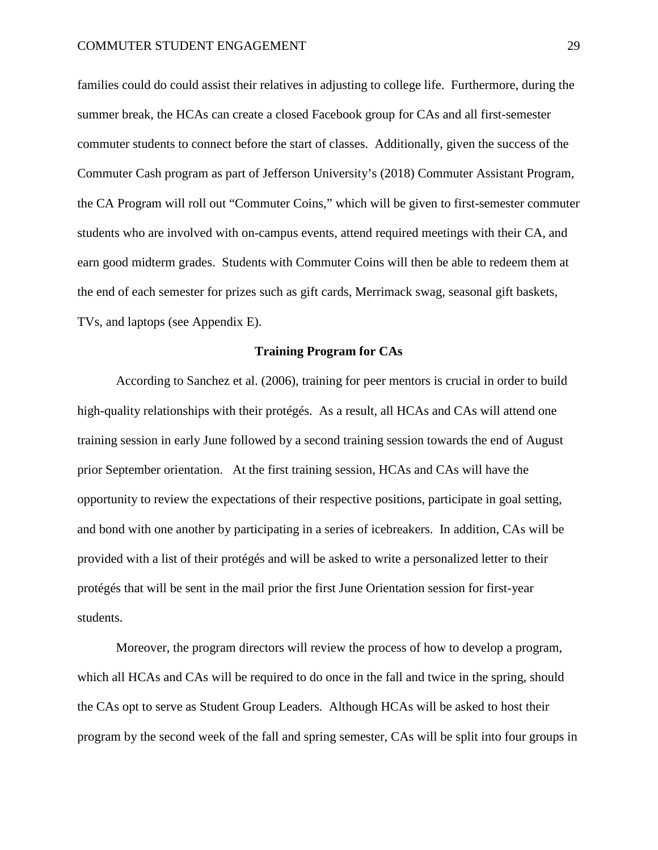families could do could assist their relatives in adjusting to college life. Furthermore, during the summer break, the HCAs can create a closed Facebook group for CAs and all first-semester commuter students to connect before the start of classes. Additionally, given the success of the Commuter Cash program as part of Jefferson University's (2018) Commuter Assistant Program, the CA Program will roll out "Commuter Coins," which will be given to first-semester commuter students who are involved with on-campus events, attend required meetings with their CA, and earn good midterm grades. Students with Commuter Coins will then be able to redeem them at the end of each semester for prizes such as gift cards, Merrimack swag, seasonal gift baskets, TVs, and laptops (see Appendix E).

### **Training Program for CAs**

According to Sanchez et al. (2006), training for peer mentors is crucial in order to build high-quality relationships with their protégés. As a result, all HCAs and CAs will attend one training session in early June followed by a second training session towards the end of August prior September orientation. At the first training session, HCAs and CAs will have the opportunity to review the expectations of their respective positions, participate in goal setting, and bond with one another by participating in a series of icebreakers. In addition, CAs will be provided with a list of their protégés and will be asked to write a personalized letter to their protégés that will be sent in the mail prior the first June Orientation session for first-year students.

Moreover, the program directors will review the process of how to develop a program, which all HCAs and CAs will be required to do once in the fall and twice in the spring, should the CAs opt to serve as Student Group Leaders. Although HCAs will be asked to host their program by the second week of the fall and spring semester, CAs will be split into four groups in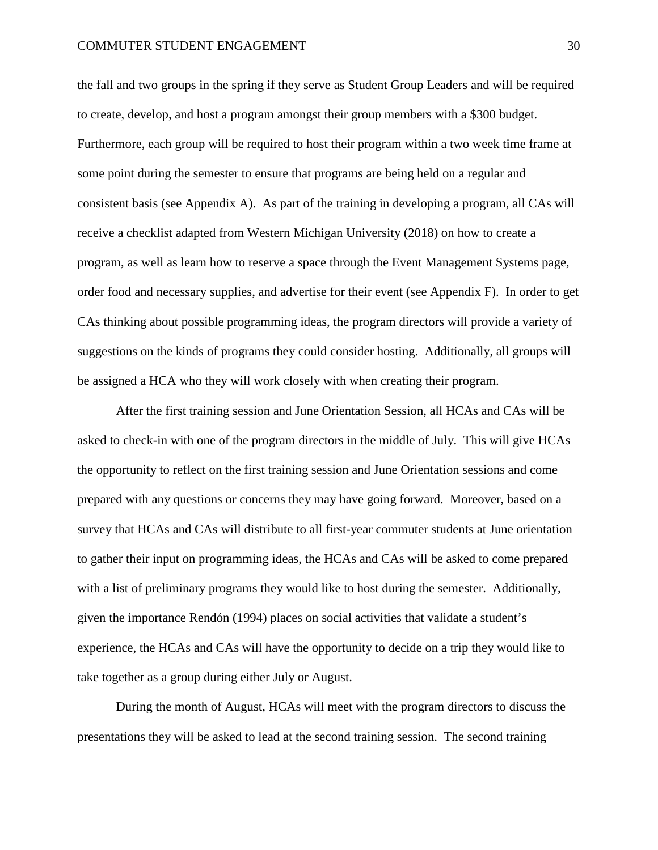the fall and two groups in the spring if they serve as Student Group Leaders and will be required to create, develop, and host a program amongst their group members with a \$300 budget. Furthermore, each group will be required to host their program within a two week time frame at some point during the semester to ensure that programs are being held on a regular and consistent basis (see Appendix A). As part of the training in developing a program, all CAs will receive a checklist adapted from Western Michigan University (2018) on how to create a program, as well as learn how to reserve a space through the Event Management Systems page, order food and necessary supplies, and advertise for their event (see Appendix F). In order to get CAs thinking about possible programming ideas, the program directors will provide a variety of suggestions on the kinds of programs they could consider hosting. Additionally, all groups will be assigned a HCA who they will work closely with when creating their program.

After the first training session and June Orientation Session, all HCAs and CAs will be asked to check-in with one of the program directors in the middle of July. This will give HCAs the opportunity to reflect on the first training session and June Orientation sessions and come prepared with any questions or concerns they may have going forward. Moreover, based on a survey that HCAs and CAs will distribute to all first-year commuter students at June orientation to gather their input on programming ideas, the HCAs and CAs will be asked to come prepared with a list of preliminary programs they would like to host during the semester. Additionally, given the importance Rendón (1994) places on social activities that validate a student's experience, the HCAs and CAs will have the opportunity to decide on a trip they would like to take together as a group during either July or August.

During the month of August, HCAs will meet with the program directors to discuss the presentations they will be asked to lead at the second training session. The second training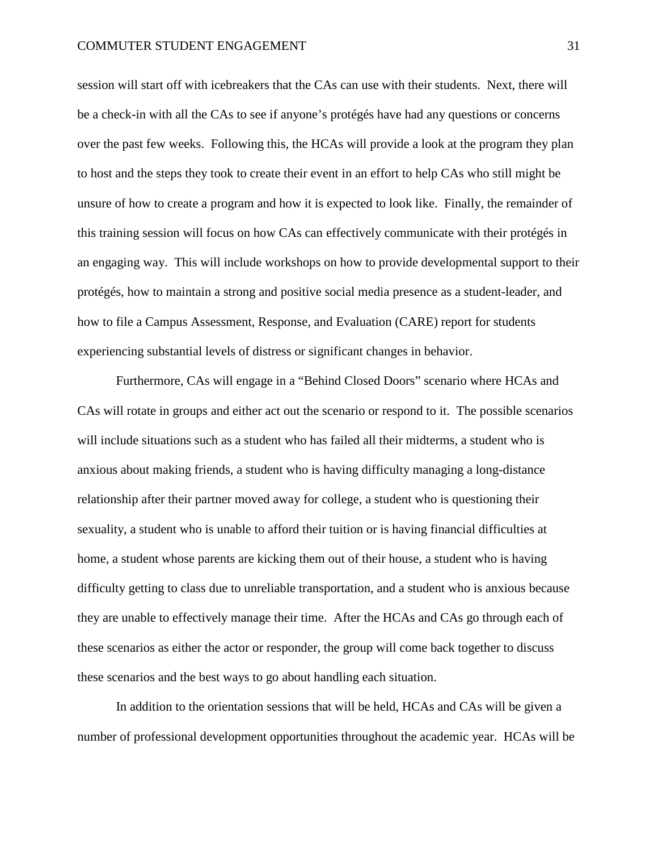session will start off with icebreakers that the CAs can use with their students. Next, there will be a check-in with all the CAs to see if anyone's protégés have had any questions or concerns over the past few weeks. Following this, the HCAs will provide a look at the program they plan to host and the steps they took to create their event in an effort to help CAs who still might be unsure of how to create a program and how it is expected to look like. Finally, the remainder of this training session will focus on how CAs can effectively communicate with their protégés in an engaging way. This will include workshops on how to provide developmental support to their protégés, how to maintain a strong and positive social media presence as a student-leader, and how to file a Campus Assessment, Response, and Evaluation (CARE) report for students experiencing substantial levels of distress or significant changes in behavior.

Furthermore, CAs will engage in a "Behind Closed Doors" scenario where HCAs and CAs will rotate in groups and either act out the scenario or respond to it. The possible scenarios will include situations such as a student who has failed all their midterms, a student who is anxious about making friends, a student who is having difficulty managing a long-distance relationship after their partner moved away for college, a student who is questioning their sexuality, a student who is unable to afford their tuition or is having financial difficulties at home, a student whose parents are kicking them out of their house, a student who is having difficulty getting to class due to unreliable transportation, and a student who is anxious because they are unable to effectively manage their time. After the HCAs and CAs go through each of these scenarios as either the actor or responder, the group will come back together to discuss these scenarios and the best ways to go about handling each situation.

In addition to the orientation sessions that will be held, HCAs and CAs will be given a number of professional development opportunities throughout the academic year. HCAs will be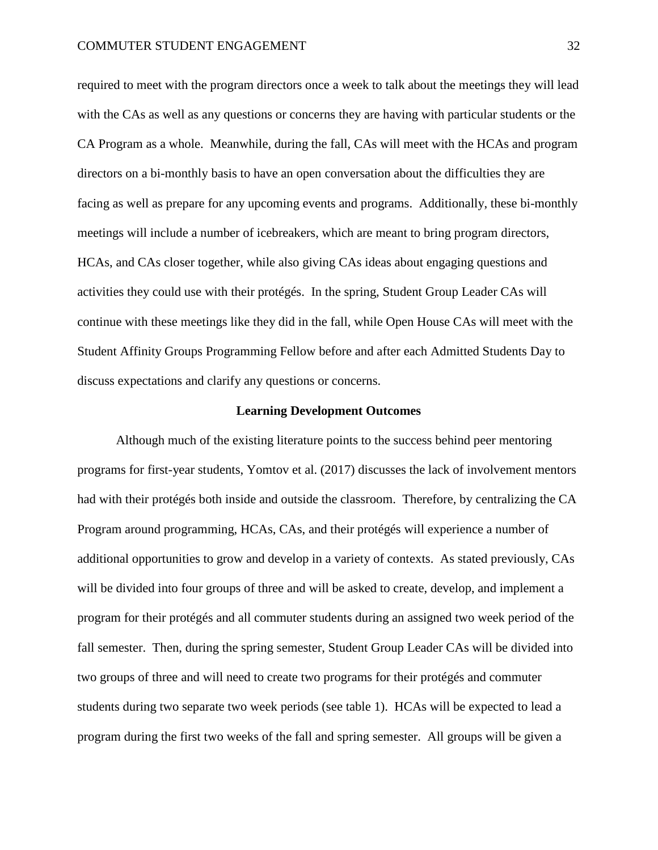required to meet with the program directors once a week to talk about the meetings they will lead with the CAs as well as any questions or concerns they are having with particular students or the CA Program as a whole. Meanwhile, during the fall, CAs will meet with the HCAs and program directors on a bi-monthly basis to have an open conversation about the difficulties they are facing as well as prepare for any upcoming events and programs. Additionally, these bi-monthly meetings will include a number of icebreakers, which are meant to bring program directors, HCAs, and CAs closer together, while also giving CAs ideas about engaging questions and activities they could use with their protégés. In the spring, Student Group Leader CAs will continue with these meetings like they did in the fall, while Open House CAs will meet with the Student Affinity Groups Programming Fellow before and after each Admitted Students Day to discuss expectations and clarify any questions or concerns.

#### **Learning Development Outcomes**

Although much of the existing literature points to the success behind peer mentoring programs for first-year students, Yomtov et al. (2017) discusses the lack of involvement mentors had with their protégés both inside and outside the classroom. Therefore, by centralizing the CA Program around programming, HCAs, CAs, and their protégés will experience a number of additional opportunities to grow and develop in a variety of contexts. As stated previously, CAs will be divided into four groups of three and will be asked to create, develop, and implement a program for their protégés and all commuter students during an assigned two week period of the fall semester. Then, during the spring semester, Student Group Leader CAs will be divided into two groups of three and will need to create two programs for their protégés and commuter students during two separate two week periods (see table 1). HCAs will be expected to lead a program during the first two weeks of the fall and spring semester. All groups will be given a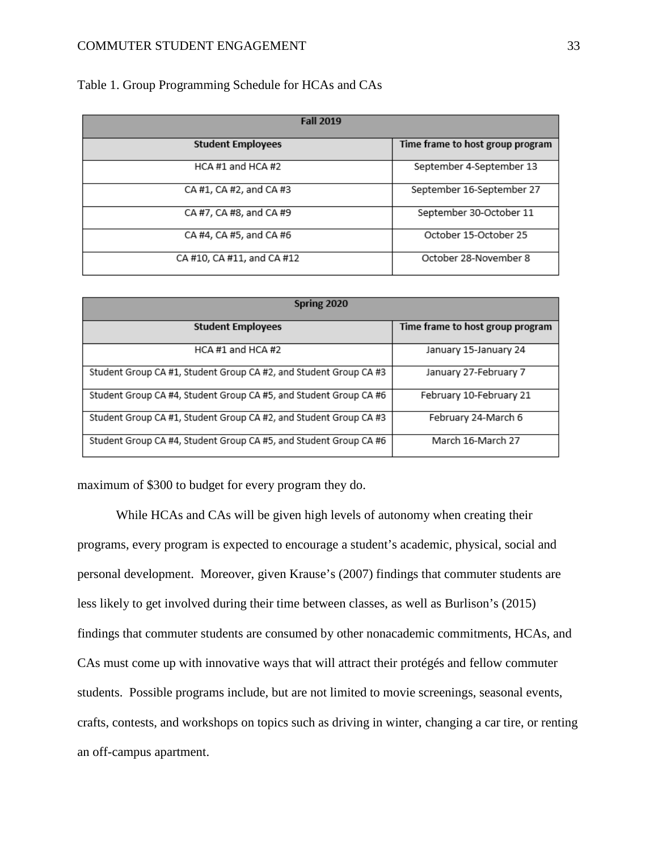Table 1. Group Programming Schedule for HCAs and CAs

| <b>Fall 2019</b>           |                                  |
|----------------------------|----------------------------------|
| <b>Student Employees</b>   | Time frame to host group program |
| HCA #1 and HCA #2          | September 4-September 13         |
| CA #1, CA #2, and CA #3    | September 16-September 27        |
| CA #7, CA #8, and CA #9    | September 30-October 11          |
| CA #4, CA #5, and CA #6    | October 15-October 25            |
| CA #10, CA #11, and CA #12 | October 28-November 8            |

| Spring 2020                                                       |                                  |
|-------------------------------------------------------------------|----------------------------------|
| <b>Student Employees</b>                                          | Time frame to host group program |
| HCA #1 and HCA #2                                                 | January 15-January 24            |
| Student Group CA #1, Student Group CA #2, and Student Group CA #3 | January 27-February 7            |
| Student Group CA #4, Student Group CA #5, and Student Group CA #6 | February 10-February 21          |
| Student Group CA #1, Student Group CA #2, and Student Group CA #3 | February 24-March 6              |
| Student Group CA #4, Student Group CA #5, and Student Group CA #6 | March 16-March 27                |

maximum of \$300 to budget for every program they do.

While HCAs and CAs will be given high levels of autonomy when creating their programs, every program is expected to encourage a student's academic, physical, social and personal development. Moreover, given Krause's (2007) findings that commuter students are less likely to get involved during their time between classes, as well as Burlison's (2015) findings that commuter students are consumed by other nonacademic commitments, HCAs, and CAs must come up with innovative ways that will attract their protégés and fellow commuter students. Possible programs include, but are not limited to movie screenings, seasonal events, crafts, contests, and workshops on topics such as driving in winter, changing a car tire, or renting an off-campus apartment.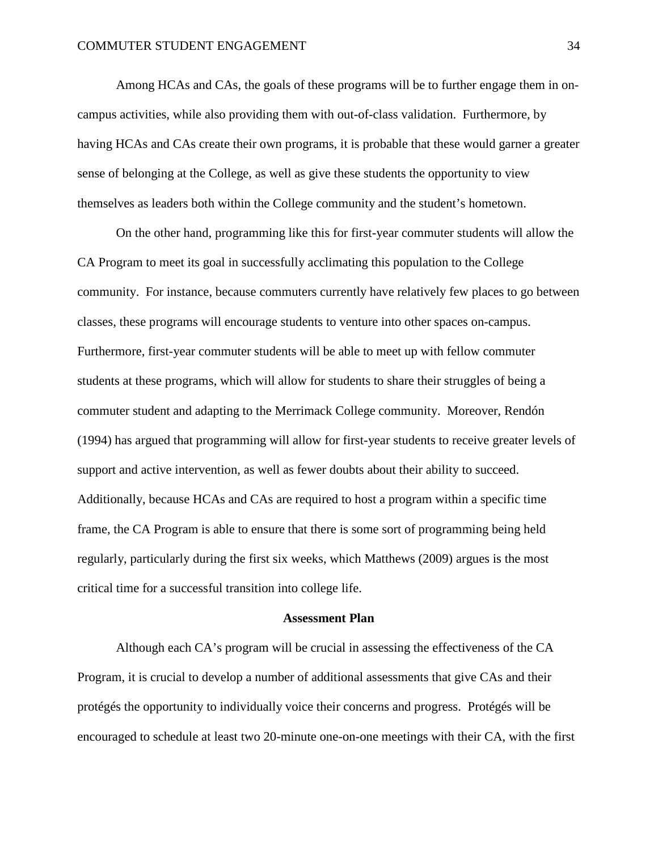Among HCAs and CAs, the goals of these programs will be to further engage them in oncampus activities, while also providing them with out-of-class validation. Furthermore, by having HCAs and CAs create their own programs, it is probable that these would garner a greater sense of belonging at the College, as well as give these students the opportunity to view themselves as leaders both within the College community and the student's hometown.

On the other hand, programming like this for first-year commuter students will allow the CA Program to meet its goal in successfully acclimating this population to the College community. For instance, because commuters currently have relatively few places to go between classes, these programs will encourage students to venture into other spaces on-campus. Furthermore, first-year commuter students will be able to meet up with fellow commuter students at these programs, which will allow for students to share their struggles of being a commuter student and adapting to the Merrimack College community. Moreover, Rendón (1994) has argued that programming will allow for first-year students to receive greater levels of support and active intervention, as well as fewer doubts about their ability to succeed. Additionally, because HCAs and CAs are required to host a program within a specific time frame, the CA Program is able to ensure that there is some sort of programming being held regularly, particularly during the first six weeks, which Matthews (2009) argues is the most critical time for a successful transition into college life.

#### **Assessment Plan**

Although each CA's program will be crucial in assessing the effectiveness of the CA Program, it is crucial to develop a number of additional assessments that give CAs and their protégés the opportunity to individually voice their concerns and progress. Protégés will be encouraged to schedule at least two 20-minute one-on-one meetings with their CA, with the first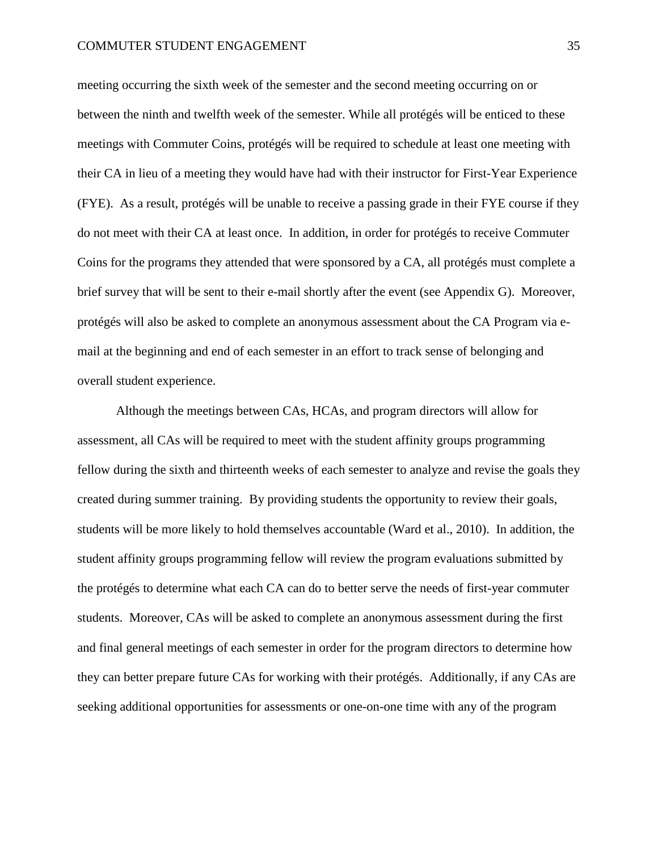meeting occurring the sixth week of the semester and the second meeting occurring on or between the ninth and twelfth week of the semester. While all protégés will be enticed to these meetings with Commuter Coins, protégés will be required to schedule at least one meeting with their CA in lieu of a meeting they would have had with their instructor for First-Year Experience (FYE). As a result, protégés will be unable to receive a passing grade in their FYE course if they do not meet with their CA at least once. In addition, in order for protégés to receive Commuter Coins for the programs they attended that were sponsored by a CA, all protégés must complete a brief survey that will be sent to their e-mail shortly after the event (see Appendix G). Moreover, protégés will also be asked to complete an anonymous assessment about the CA Program via email at the beginning and end of each semester in an effort to track sense of belonging and overall student experience.

Although the meetings between CAs, HCAs, and program directors will allow for assessment, all CAs will be required to meet with the student affinity groups programming fellow during the sixth and thirteenth weeks of each semester to analyze and revise the goals they created during summer training. By providing students the opportunity to review their goals, students will be more likely to hold themselves accountable (Ward et al., 2010). In addition, the student affinity groups programming fellow will review the program evaluations submitted by the protégés to determine what each CA can do to better serve the needs of first-year commuter students. Moreover, CAs will be asked to complete an anonymous assessment during the first and final general meetings of each semester in order for the program directors to determine how they can better prepare future CAs for working with their protégés. Additionally, if any CAs are seeking additional opportunities for assessments or one-on-one time with any of the program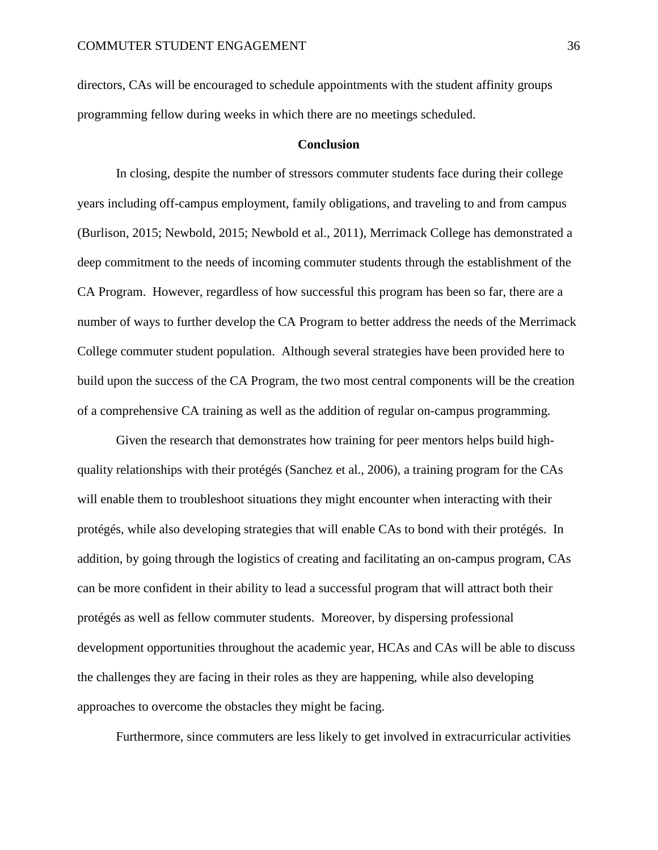directors, CAs will be encouraged to schedule appointments with the student affinity groups programming fellow during weeks in which there are no meetings scheduled.

### **Conclusion**

In closing, despite the number of stressors commuter students face during their college years including off-campus employment, family obligations, and traveling to and from campus (Burlison, 2015; Newbold, 2015; Newbold et al., 2011), Merrimack College has demonstrated a deep commitment to the needs of incoming commuter students through the establishment of the CA Program. However, regardless of how successful this program has been so far, there are a number of ways to further develop the CA Program to better address the needs of the Merrimack College commuter student population. Although several strategies have been provided here to build upon the success of the CA Program, the two most central components will be the creation of a comprehensive CA training as well as the addition of regular on-campus programming.

Given the research that demonstrates how training for peer mentors helps build highquality relationships with their protégés (Sanchez et al., 2006), a training program for the CAs will enable them to troubleshoot situations they might encounter when interacting with their protégés, while also developing strategies that will enable CAs to bond with their protégés. In addition, by going through the logistics of creating and facilitating an on-campus program, CAs can be more confident in their ability to lead a successful program that will attract both their protégés as well as fellow commuter students. Moreover, by dispersing professional development opportunities throughout the academic year, HCAs and CAs will be able to discuss the challenges they are facing in their roles as they are happening, while also developing approaches to overcome the obstacles they might be facing.

Furthermore, since commuters are less likely to get involved in extracurricular activities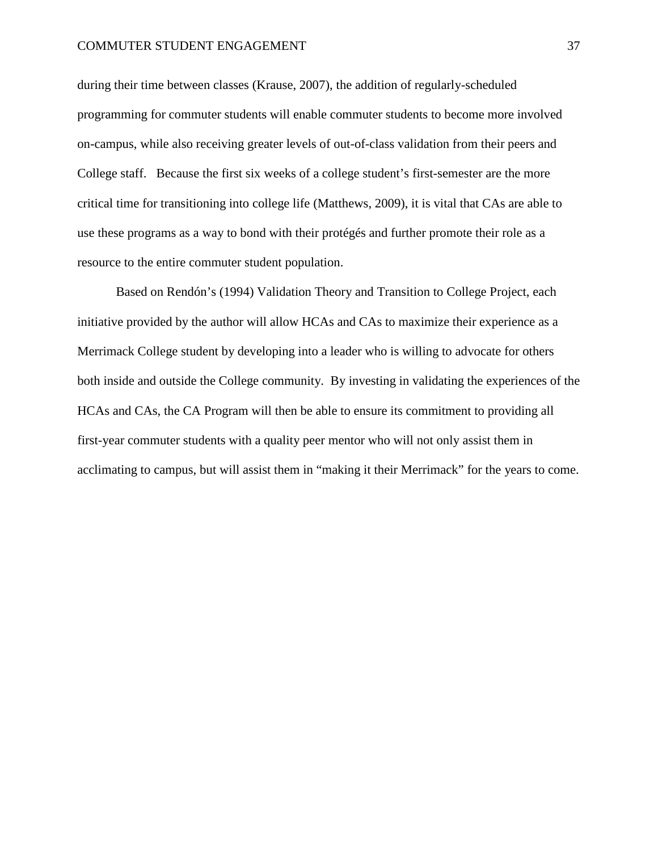during their time between classes (Krause, 2007), the addition of regularly-scheduled programming for commuter students will enable commuter students to become more involved on-campus, while also receiving greater levels of out-of-class validation from their peers and College staff. Because the first six weeks of a college student's first-semester are the more critical time for transitioning into college life (Matthews, 2009), it is vital that CAs are able to use these programs as a way to bond with their protégés and further promote their role as a resource to the entire commuter student population.

Based on Rendón's (1994) Validation Theory and Transition to College Project, each initiative provided by the author will allow HCAs and CAs to maximize their experience as a Merrimack College student by developing into a leader who is willing to advocate for others both inside and outside the College community. By investing in validating the experiences of the HCAs and CAs, the CA Program will then be able to ensure its commitment to providing all first-year commuter students with a quality peer mentor who will not only assist them in acclimating to campus, but will assist them in "making it their Merrimack" for the years to come.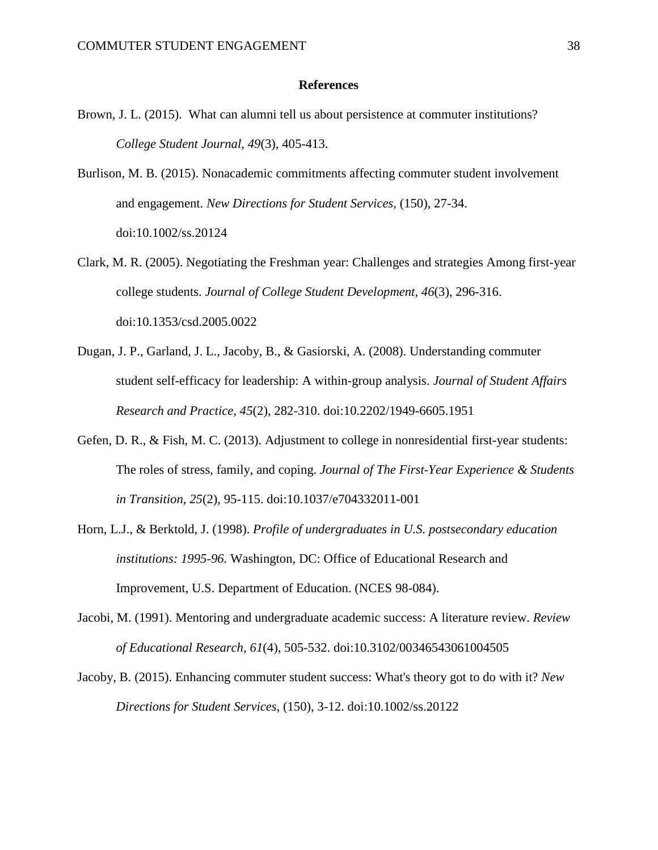#### **References**

- Brown, J. L. (2015). What can alumni tell us about persistence at commuter institutions? *College Student Journal, 49*(3), 405-413.
- Burlison, M. B. (2015). Nonacademic commitments affecting commuter student involvement and engagement. *New Directions for Student Services,* (150), 27-34. doi:10.1002/ss.20124
- Clark, M. R. (2005). Negotiating the Freshman year: Challenges and strategies Among first-year college students. *Journal of College Student Development, 46*(3), 296-316. doi:10.1353/csd.2005.0022
- Dugan, J. P., Garland, J. L., Jacoby, B., & Gasiorski, A. (2008). Understanding commuter student self-efficacy for leadership: A within-group analysis. *Journal of Student Affairs Research and Practice, 45*(2), 282-310. doi:10.2202/1949-6605.1951
- Gefen, D. R., & Fish, M. C. (2013). Adjustment to college in nonresidential first-year students: The roles of stress, family, and coping. *Journal of The First-Year Experience & Students in Transition, 25*(2), 95-115. doi:10.1037/e704332011-001
- Horn, L.J., & Berktold, J. (1998). *Profile of undergraduates in U.S. postsecondary education institutions: 1995-96.* Washington, DC: Office of Educational Research and Improvement, U.S. Department of Education. (NCES 98-084).
- Jacobi, M. (1991). Mentoring and undergraduate academic success: A literature review. *Review of Educational Research, 61*(4), 505-532. doi:10.3102/00346543061004505
- Jacoby, B. (2015). Enhancing commuter student success: What's theory got to do with it? *New Directions for Student Services,* (150), 3-12. doi:10.1002/ss.20122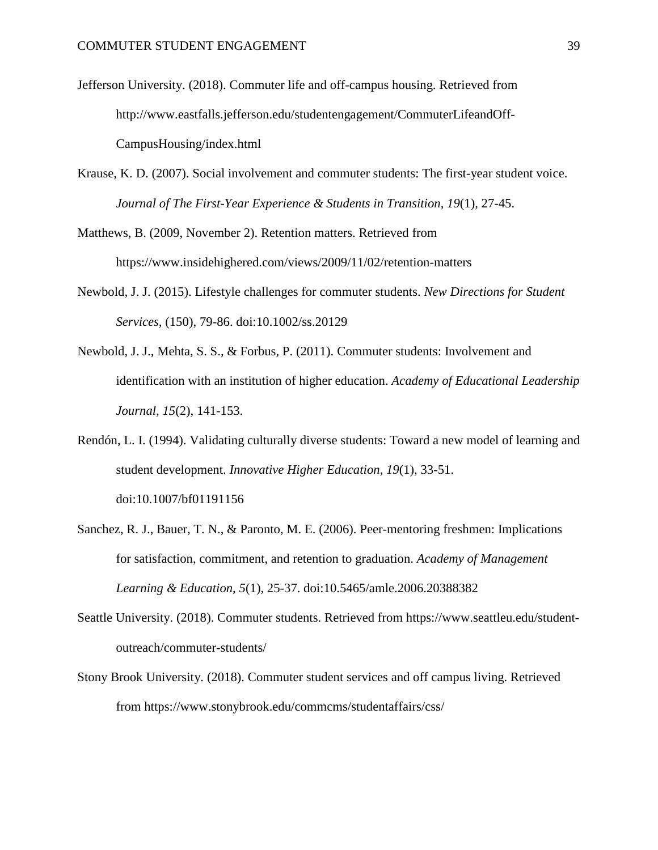- Jefferson University. (2018). Commuter life and off-campus housing. Retrieved from http://www.eastfalls.jefferson.edu/studentengagement/CommuterLifeandOff-CampusHousing/index.html
- Krause, K. D. (2007). Social involvement and commuter students: The first-year student voice. *Journal of The First-Year Experience & Students in Transition, 19*(1), 27-45.

Matthews, B. (2009, November 2). Retention matters. Retrieved from https://www.insidehighered.com/views/2009/11/02/retention-matters

- Newbold, J. J. (2015). Lifestyle challenges for commuter students. *New Directions for Student Services,* (150), 79-86. doi:10.1002/ss.20129
- Newbold, J. J., Mehta, S. S., & Forbus, P. (2011). Commuter students: Involvement and identification with an institution of higher education. *Academy of Educational Leadership Journal, 15*(2), 141-153.
- Rendón, L. I. (1994). Validating culturally diverse students: Toward a new model of learning and student development. *Innovative Higher Education, 19*(1), 33-51. doi:10.1007/bf01191156
- Sanchez, R. J., Bauer, T. N., & Paronto, M. E. (2006). Peer-mentoring freshmen: Implications for satisfaction, commitment, and retention to graduation. *Academy of Management Learning & Education, 5*(1), 25-37. doi:10.5465/amle.2006.20388382
- Seattle University. (2018). Commuter students. Retrieved from https://www.seattleu.edu/studentoutreach/commuter-students/
- Stony Brook University. (2018). Commuter student services and off campus living. Retrieved from https://www.stonybrook.edu/commcms/studentaffairs/css/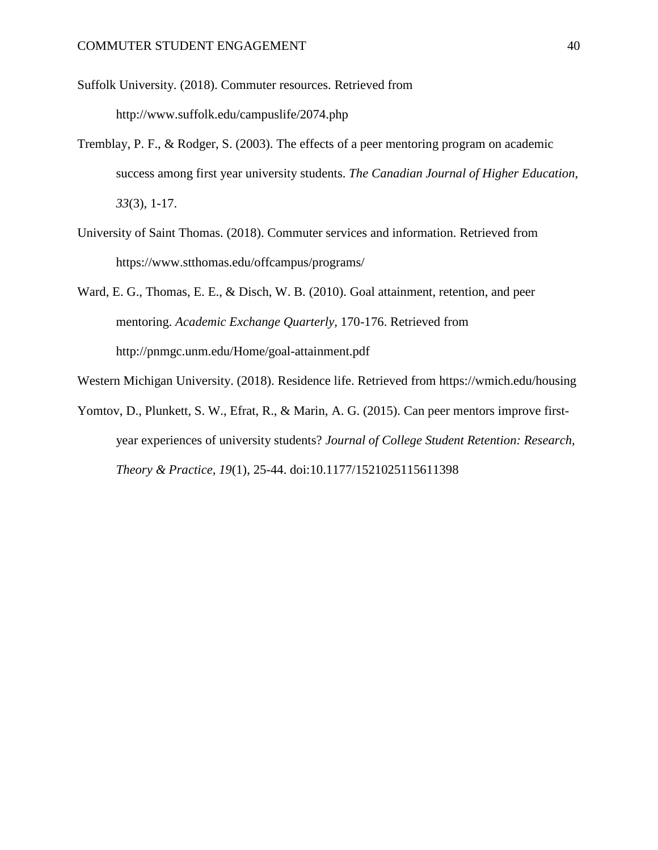Suffolk University. (2018). Commuter resources. Retrieved from http://www.suffolk.edu/campuslife/2074.php

- Tremblay, P. F., & Rodger, S. (2003). The effects of a peer mentoring program on academic success among first year university students. *The Canadian Journal of Higher Education, 33*(3), 1-17.
- University of Saint Thomas. (2018). Commuter services and information. Retrieved from https://www.stthomas.edu/offcampus/programs/
- Ward, E. G., Thomas, E. E., & Disch, W. B. (2010). Goal attainment, retention, and peer mentoring. *Academic Exchange Quarterly,* 170-176. Retrieved from http://pnmgc.unm.edu/Home/goal-attainment.pdf
- Western Michigan University. (2018). Residence life. Retrieved from https://wmich.edu/housing
- Yomtov, D., Plunkett, S. W., Efrat, R., & Marin, A. G. (2015). Can peer mentors improve firstyear experiences of university students? *Journal of College Student Retention: Research, Theory & Practice, 19*(1), 25-44. doi:10.1177/1521025115611398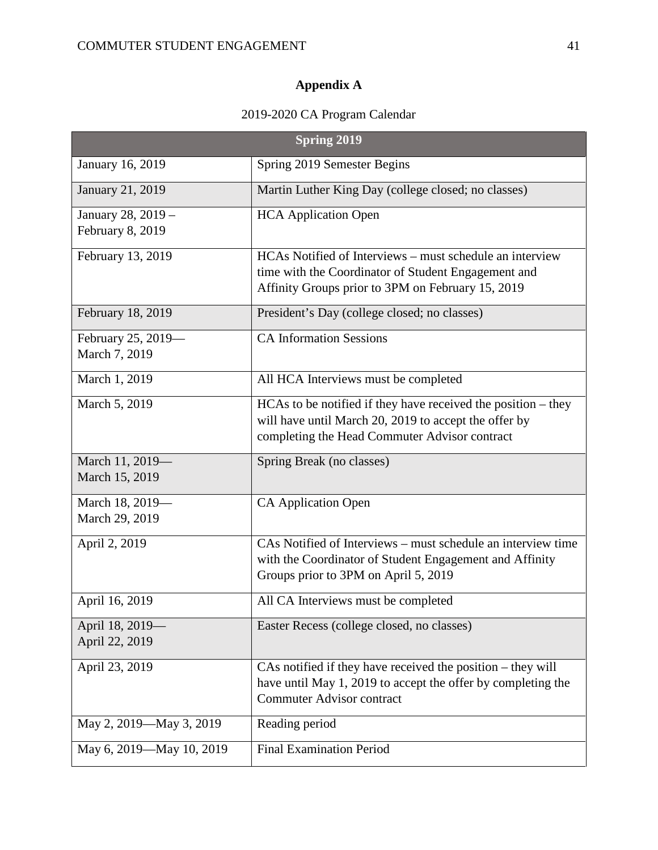# **Appendix A**

# 2019-2020 CA Program Calendar

|                                        | <b>Spring 2019</b>                                                                                                                                                      |
|----------------------------------------|-------------------------------------------------------------------------------------------------------------------------------------------------------------------------|
| January 16, 2019                       | Spring 2019 Semester Begins                                                                                                                                             |
| January 21, 2019                       | Martin Luther King Day (college closed; no classes)                                                                                                                     |
| January 28, 2019 -<br>February 8, 2019 | <b>HCA</b> Application Open                                                                                                                                             |
| February 13, 2019                      | HCAs Notified of Interviews – must schedule an interview<br>time with the Coordinator of Student Engagement and<br>Affinity Groups prior to 3PM on February 15, 2019    |
| February 18, 2019                      | President's Day (college closed; no classes)                                                                                                                            |
| February 25, 2019-<br>March 7, 2019    | <b>CA Information Sessions</b>                                                                                                                                          |
| March 1, 2019                          | All HCA Interviews must be completed                                                                                                                                    |
| March 5, 2019                          | HCAs to be notified if they have received the position – they<br>will have until March 20, 2019 to accept the offer by<br>completing the Head Commuter Advisor contract |
| March 11, 2019-<br>March 15, 2019      | Spring Break (no classes)                                                                                                                                               |
| March 18, 2019-<br>March 29, 2019      | <b>CA Application Open</b>                                                                                                                                              |
| April 2, 2019                          | CAs Notified of Interviews – must schedule an interview time<br>with the Coordinator of Student Engagement and Affinity<br>Groups prior to 3PM on April 5, 2019         |
| April 16, 2019                         | All CA Interviews must be completed                                                                                                                                     |
| April 18, 2019-<br>April 22, 2019      | Easter Recess (college closed, no classes)                                                                                                                              |
| April 23, 2019                         | CAs notified if they have received the position – they will<br>have until May 1, 2019 to accept the offer by completing the<br><b>Commuter Advisor contract</b>         |
| May 2, 2019-May 3, 2019                | Reading period                                                                                                                                                          |
| May 6, 2019-May 10, 2019               | <b>Final Examination Period</b>                                                                                                                                         |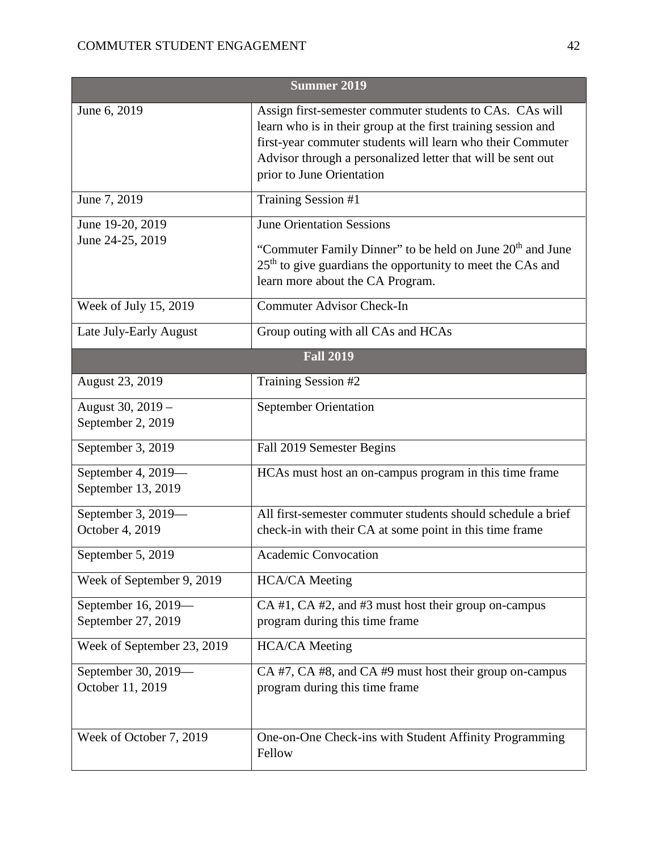|                                           | <b>Summer 2019</b>                                                                                                                                                                                                                                                                  |
|-------------------------------------------|-------------------------------------------------------------------------------------------------------------------------------------------------------------------------------------------------------------------------------------------------------------------------------------|
| June 6, 2019                              | Assign first-semester commuter students to CAs. CAs will<br>learn who is in their group at the first training session and<br>first-year commuter students will learn who their Commuter<br>Advisor through a personalized letter that will be sent out<br>prior to June Orientation |
| June 7, 2019                              | Training Session #1                                                                                                                                                                                                                                                                 |
| June 19-20, 2019<br>June 24-25, 2019      | <b>June Orientation Sessions</b><br>"Commuter Family Dinner" to be held on June 20 <sup>th</sup> and June<br>25 <sup>th</sup> to give guardians the opportunity to meet the CAs and<br>learn more about the CA Program.                                                             |
| Week of July 15, 2019                     | <b>Commuter Advisor Check-In</b>                                                                                                                                                                                                                                                    |
| Late July-Early August                    | Group outing with all CAs and HCAs                                                                                                                                                                                                                                                  |
|                                           | <b>Fall 2019</b>                                                                                                                                                                                                                                                                    |
| <b>August 23, 2019</b>                    | Training Session #2                                                                                                                                                                                                                                                                 |
| August 30, 2019 -<br>September 2, 2019    | <b>September Orientation</b>                                                                                                                                                                                                                                                        |
| September 3, 2019                         | Fall 2019 Semester Begins                                                                                                                                                                                                                                                           |
| September 4, 2019-<br>September 13, 2019  | HCAs must host an on-campus program in this time frame                                                                                                                                                                                                                              |
| September 3, 2019-<br>October 4, 2019     | All first-semester commuter students should schedule a brief<br>check-in with their CA at some point in this time frame                                                                                                                                                             |
| September 5, 2019                         | <b>Academic Convocation</b>                                                                                                                                                                                                                                                         |
| Week of September 9, 2019                 | <b>HCA/CA</b> Meeting                                                                                                                                                                                                                                                               |
| September 16, 2019-<br>September 27, 2019 | CA #1, CA #2, and #3 must host their group on-campus<br>program during this time frame                                                                                                                                                                                              |
| Week of September 23, 2019                | <b>HCA/CA</b> Meeting                                                                                                                                                                                                                                                               |
| September 30, 2019—<br>October 11, 2019   | CA #7, CA #8, and CA #9 must host their group on-campus<br>program during this time frame                                                                                                                                                                                           |
| Week of October 7, 2019                   | One-on-One Check-ins with Student Affinity Programming<br>Fellow                                                                                                                                                                                                                    |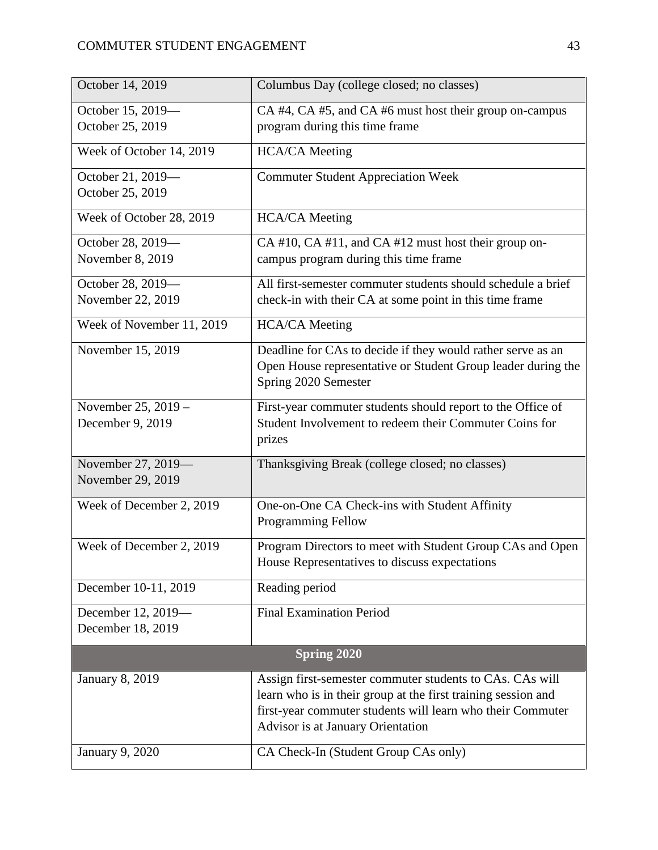| October 14, 2019          | Columbus Day (college closed; no classes)                     |
|---------------------------|---------------------------------------------------------------|
| October 15, 2019-         | CA #4, CA #5, and CA #6 must host their group on-campus       |
| October 25, 2019          | program during this time frame                                |
| Week of October 14, 2019  | <b>HCA/CA</b> Meeting                                         |
| October 21, 2019-         | <b>Commuter Student Appreciation Week</b>                     |
| October 25, 2019          |                                                               |
| Week of October 28, 2019  | <b>HCA/CA</b> Meeting                                         |
| October 28, 2019-         | CA #10, CA #11, and CA #12 must host their group on-          |
| November 8, 2019          | campus program during this time frame                         |
| October 28, 2019-         | All first-semester commuter students should schedule a brief  |
| November 22, 2019         | check-in with their CA at some point in this time frame       |
| Week of November 11, 2019 | <b>HCA/CA</b> Meeting                                         |
| November 15, 2019         | Deadline for CAs to decide if they would rather serve as an   |
|                           | Open House representative or Student Group leader during the  |
|                           | Spring 2020 Semester                                          |
| November 25, 2019 -       | First-year commuter students should report to the Office of   |
| December 9, 2019          | Student Involvement to redeem their Commuter Coins for        |
|                           | prizes                                                        |
| November 27, 2019-        | Thanksgiving Break (college closed; no classes)               |
| November 29, 2019         |                                                               |
| Week of December 2, 2019  | One-on-One CA Check-ins with Student Affinity                 |
|                           | <b>Programming Fellow</b>                                     |
| Week of December 2, 2019  | Program Directors to meet with Student Group CAs and Open     |
|                           | House Representatives to discuss expectations                 |
| December 10-11, 2019      | Reading period                                                |
| December 12, 2019-        | <b>Final Examination Period</b>                               |
| December 18, 2019         |                                                               |
|                           | <b>Spring 2020</b>                                            |
| <b>January 8, 2019</b>    | Assign first-semester commuter students to CAs. CAs will      |
|                           | learn who is in their group at the first training session and |
|                           | first-year commuter students will learn who their Commuter    |
|                           | Advisor is at January Orientation                             |
| January 9, 2020           | CA Check-In (Student Group CAs only)                          |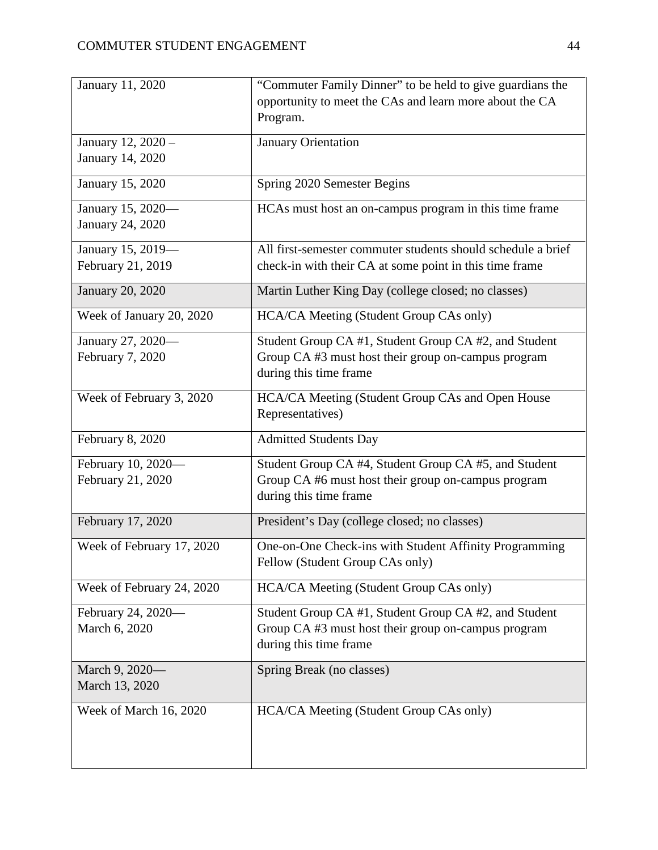| January 11, 2020          | "Commuter Family Dinner" to be held to give guardians the    |
|---------------------------|--------------------------------------------------------------|
|                           | opportunity to meet the CAs and learn more about the CA      |
|                           | Program.                                                     |
| January 12, 2020 -        | January Orientation                                          |
| January 14, 2020          |                                                              |
|                           |                                                              |
| January 15, 2020          | Spring 2020 Semester Begins                                  |
| January 15, 2020-         | HCAs must host an on-campus program in this time frame       |
| January 24, 2020          |                                                              |
| January 15, 2019-         | All first-semester commuter students should schedule a brief |
| February 21, 2019         | check-in with their CA at some point in this time frame      |
|                           |                                                              |
| <b>January 20, 2020</b>   | Martin Luther King Day (college closed; no classes)          |
| Week of January 20, 2020  | HCA/CA Meeting (Student Group CAs only)                      |
| January 27, 2020-         | Student Group CA #1, Student Group CA #2, and Student        |
| February 7, 2020          | Group CA #3 must host their group on-campus program          |
|                           | during this time frame                                       |
| Week of February 3, 2020  | HCA/CA Meeting (Student Group CAs and Open House             |
|                           | Representatives)                                             |
| February 8, 2020          | <b>Admitted Students Day</b>                                 |
|                           |                                                              |
| February 10, 2020-        | Student Group CA #4, Student Group CA #5, and Student        |
| February 21, 2020         | Group CA #6 must host their group on-campus program          |
|                           | during this time frame                                       |
| February 17, 2020         | President's Day (college closed; no classes)                 |
| Week of February 17, 2020 | One-on-One Check-ins with Student Affinity Programming       |
|                           | Fellow (Student Group CAs only)                              |
| Week of February 24, 2020 | HCA/CA Meeting (Student Group CAs only)                      |
|                           |                                                              |
| February 24, 2020-        | Student Group CA #1, Student Group CA #2, and Student        |
| March 6, 2020             | Group CA #3 must host their group on-campus program          |
|                           | during this time frame                                       |
| March 9, 2020-            | Spring Break (no classes)                                    |
| March 13, 2020            |                                                              |
| Week of March 16, 2020    | HCA/CA Meeting (Student Group CAs only)                      |
|                           |                                                              |
|                           |                                                              |
|                           |                                                              |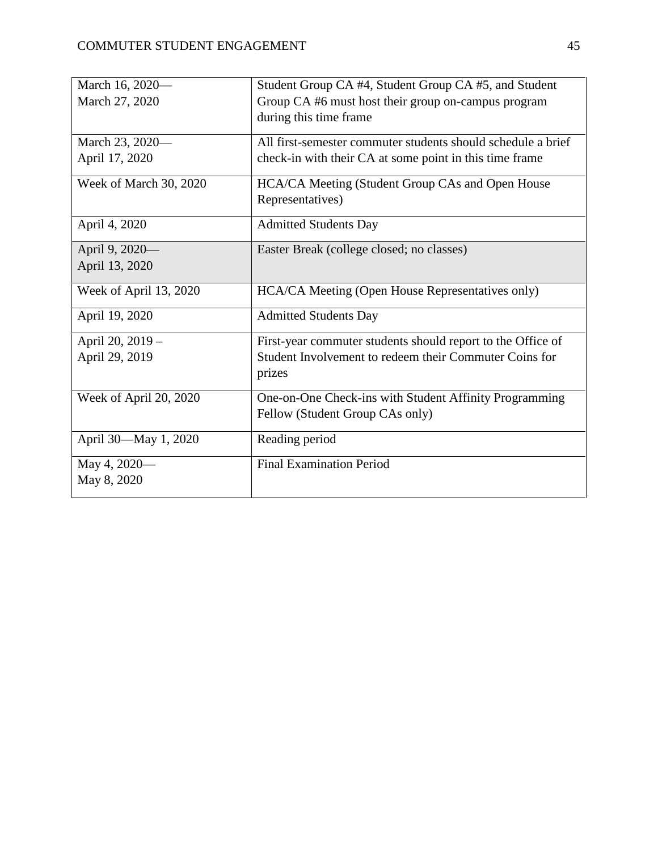| March 16, 2020-        | Student Group CA #4, Student Group CA #5, and Student                                     |
|------------------------|-------------------------------------------------------------------------------------------|
| March 27, 2020         | Group CA #6 must host their group on-campus program                                       |
|                        | during this time frame                                                                    |
| March 23, 2020-        | All first-semester commuter students should schedule a brief                              |
| April 17, 2020         | check-in with their CA at some point in this time frame                                   |
| Week of March 30, 2020 | HCA/CA Meeting (Student Group CAs and Open House                                          |
|                        | Representatives)                                                                          |
| April 4, 2020          | <b>Admitted Students Day</b>                                                              |
| April 9, 2020-         | Easter Break (college closed; no classes)                                                 |
| April 13, 2020         |                                                                                           |
| Week of April 13, 2020 | HCA/CA Meeting (Open House Representatives only)                                          |
| April 19, 2020         | <b>Admitted Students Day</b>                                                              |
| April 20, 2019 -       | First-year commuter students should report to the Office of                               |
| April 29, 2019         | Student Involvement to redeem their Commuter Coins for<br>prizes                          |
| Week of April 20, 2020 | One-on-One Check-ins with Student Affinity Programming<br>Fellow (Student Group CAs only) |
| April 30-May 1, 2020   | Reading period                                                                            |
| May 4, 2020-           | <b>Final Examination Period</b>                                                           |
| May 8, 2020            |                                                                                           |
|                        |                                                                                           |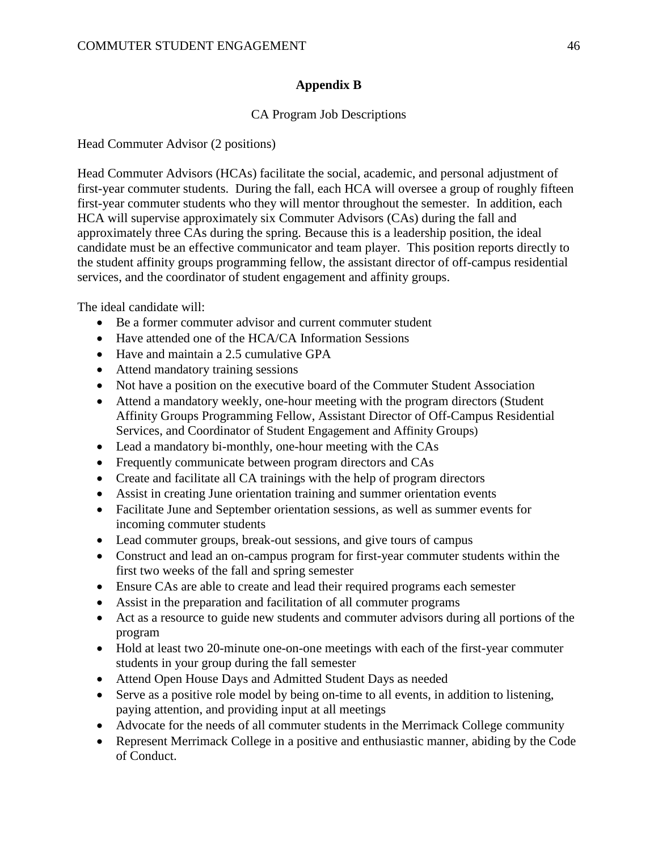# **Appendix B**

# CA Program Job Descriptions

Head Commuter Advisor (2 positions)

Head Commuter Advisors (HCAs) facilitate the social, academic, and personal adjustment of first-year commuter students. During the fall, each HCA will oversee a group of roughly fifteen first-year commuter students who they will mentor throughout the semester. In addition, each HCA will supervise approximately six Commuter Advisors (CAs) during the fall and approximately three CAs during the spring. Because this is a leadership position, the ideal candidate must be an effective communicator and team player. This position reports directly to the student affinity groups programming fellow, the assistant director of off-campus residential services, and the coordinator of student engagement and affinity groups.

The ideal candidate will:

- Be a former commuter advisor and current commuter student
- Have attended one of the HCA/CA Information Sessions
- Have and maintain a 2.5 cumulative GPA
- Attend mandatory training sessions
- Not have a position on the executive board of the Commuter Student Association
- Attend a mandatory weekly, one-hour meeting with the program directors (Student Affinity Groups Programming Fellow, Assistant Director of Off-Campus Residential Services, and Coordinator of Student Engagement and Affinity Groups)
- Lead a mandatory bi-monthly, one-hour meeting with the CAs
- Frequently communicate between program directors and CAs
- Create and facilitate all CA trainings with the help of program directors
- Assist in creating June orientation training and summer orientation events
- Facilitate June and September orientation sessions, as well as summer events for incoming commuter students
- Lead commuter groups, break-out sessions, and give tours of campus
- Construct and lead an on-campus program for first-year commuter students within the first two weeks of the fall and spring semester
- Ensure CAs are able to create and lead their required programs each semester
- Assist in the preparation and facilitation of all commuter programs
- Act as a resource to guide new students and commuter advisors during all portions of the program
- Hold at least two 20-minute one-on-one meetings with each of the first-year commuter students in your group during the fall semester
- Attend Open House Days and Admitted Student Days as needed
- Serve as a positive role model by being on-time to all events, in addition to listening, paying attention, and providing input at all meetings
- Advocate for the needs of all commuter students in the Merrimack College community
- Represent Merrimack College in a positive and enthusiastic manner, abiding by the Code of Conduct.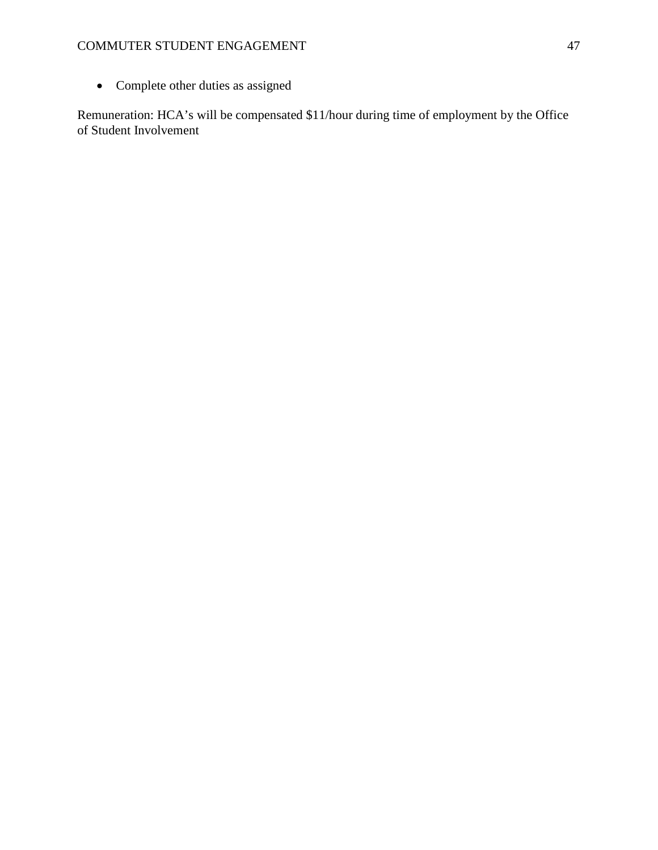• Complete other duties as assigned

Remuneration: HCA's will be compensated \$11/hour during time of employment by the Office of Student Involvement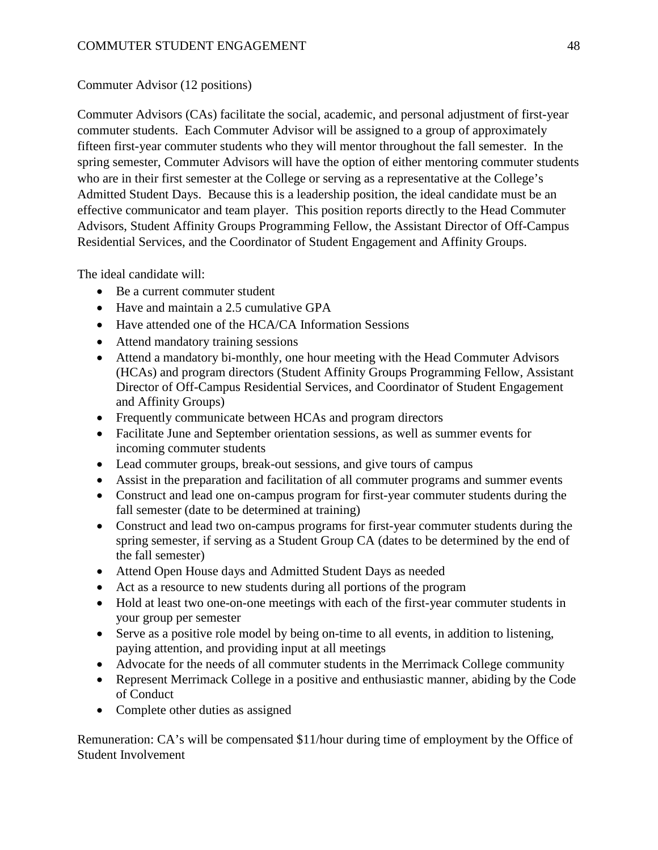# Commuter Advisor (12 positions)

Commuter Advisors (CAs) facilitate the social, academic, and personal adjustment of first-year commuter students. Each Commuter Advisor will be assigned to a group of approximately fifteen first-year commuter students who they will mentor throughout the fall semester. In the spring semester, Commuter Advisors will have the option of either mentoring commuter students who are in their first semester at the College or serving as a representative at the College's Admitted Student Days. Because this is a leadership position, the ideal candidate must be an effective communicator and team player. This position reports directly to the Head Commuter Advisors, Student Affinity Groups Programming Fellow, the Assistant Director of Off-Campus Residential Services, and the Coordinator of Student Engagement and Affinity Groups.

The ideal candidate will:

- Be a current commuter student
- Have and maintain a 2.5 cumulative GPA
- Have attended one of the HCA/CA Information Sessions
- Attend mandatory training sessions
- Attend a mandatory bi-monthly, one hour meeting with the Head Commuter Advisors (HCAs) and program directors (Student Affinity Groups Programming Fellow, Assistant Director of Off-Campus Residential Services, and Coordinator of Student Engagement and Affinity Groups)
- Frequently communicate between HCAs and program directors
- Facilitate June and September orientation sessions, as well as summer events for incoming commuter students
- Lead commuter groups, break-out sessions, and give tours of campus
- Assist in the preparation and facilitation of all commuter programs and summer events
- Construct and lead one on-campus program for first-year commuter students during the fall semester (date to be determined at training)
- Construct and lead two on-campus programs for first-year commuter students during the spring semester, if serving as a Student Group CA (dates to be determined by the end of the fall semester)
- Attend Open House days and Admitted Student Days as needed
- Act as a resource to new students during all portions of the program
- Hold at least two one-on-one meetings with each of the first-year commuter students in your group per semester
- Serve as a positive role model by being on-time to all events, in addition to listening, paying attention, and providing input at all meetings
- Advocate for the needs of all commuter students in the Merrimack College community
- Represent Merrimack College in a positive and enthusiastic manner, abiding by the Code of Conduct
- Complete other duties as assigned

Remuneration: CA's will be compensated \$11/hour during time of employment by the Office of Student Involvement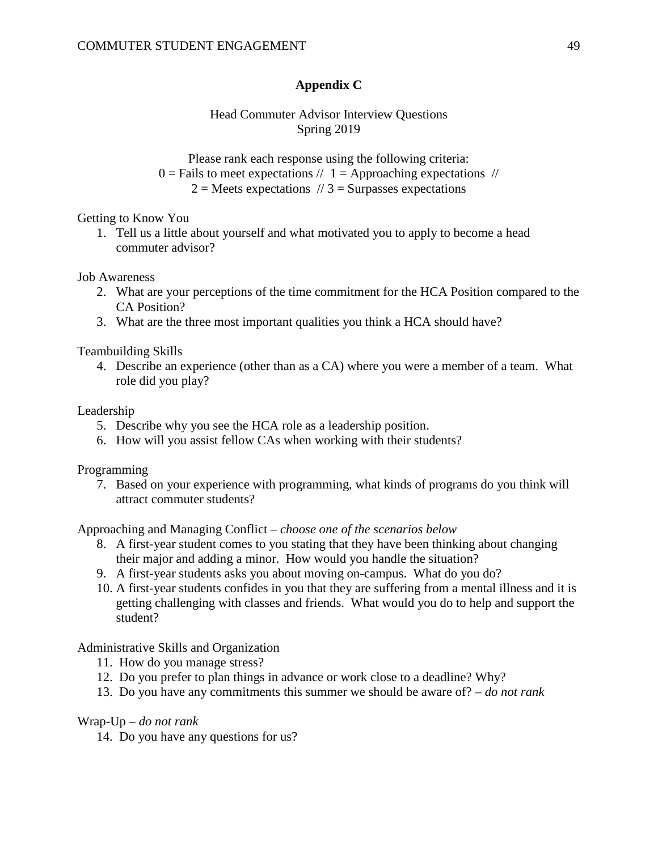# **Appendix C**

## Head Commuter Advisor Interview Questions Spring 2019

Please rank each response using the following criteria:

 $0 =$  Fails to meet expectations //  $1 =$  Approaching expectations //

 $2 =$  Meets expectations  $\pi/3 =$  Surpasses expectations

Getting to Know You

1. Tell us a little about yourself and what motivated you to apply to become a head commuter advisor?

Job Awareness

- 2. What are your perceptions of the time commitment for the HCA Position compared to the CA Position?
- 3. What are the three most important qualities you think a HCA should have?

Teambuilding Skills

4. Describe an experience (other than as a CA) where you were a member of a team. What role did you play?

Leadership

- 5. Describe why you see the HCA role as a leadership position.
- 6. How will you assist fellow CAs when working with their students?

Programming

7. Based on your experience with programming, what kinds of programs do you think will attract commuter students?

Approaching and Managing Conflict – *choose one of the scenarios below*

- 8. A first-year student comes to you stating that they have been thinking about changing their major and adding a minor. How would you handle the situation?
- 9. A first-year students asks you about moving on-campus. What do you do?
- 10. A first-year students confides in you that they are suffering from a mental illness and it is getting challenging with classes and friends. What would you do to help and support the student?

Administrative Skills and Organization

- 11. How do you manage stress?
- 12. Do you prefer to plan things in advance or work close to a deadline? Why?
- 13. Do you have any commitments this summer we should be aware of? *do not rank*

### Wrap-Up – *do not rank*

14. Do you have any questions for us?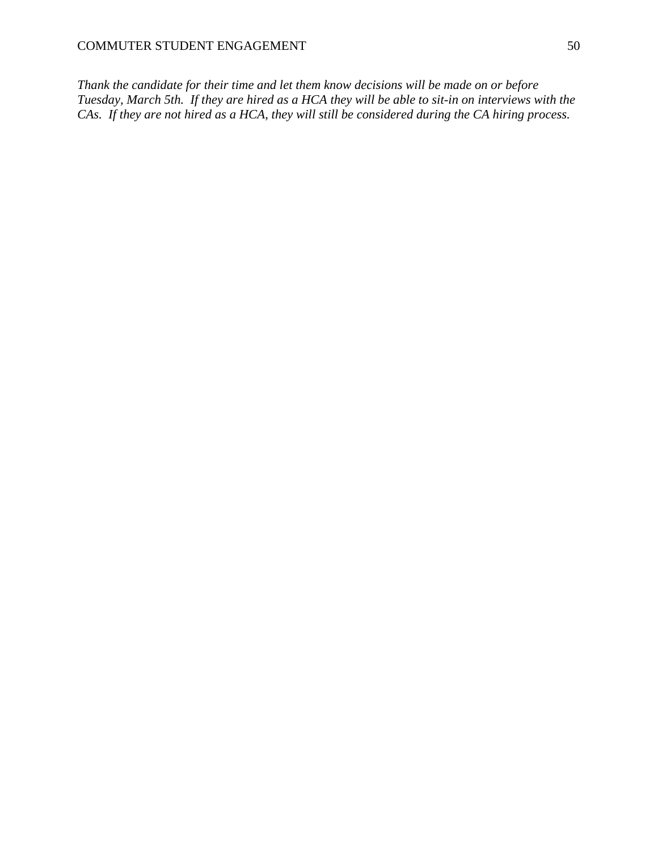*Thank the candidate for their time and let them know decisions will be made on or before Tuesday, March 5th. If they are hired as a HCA they will be able to sit-in on interviews with the CAs. If they are not hired as a HCA, they will still be considered during the CA hiring process.*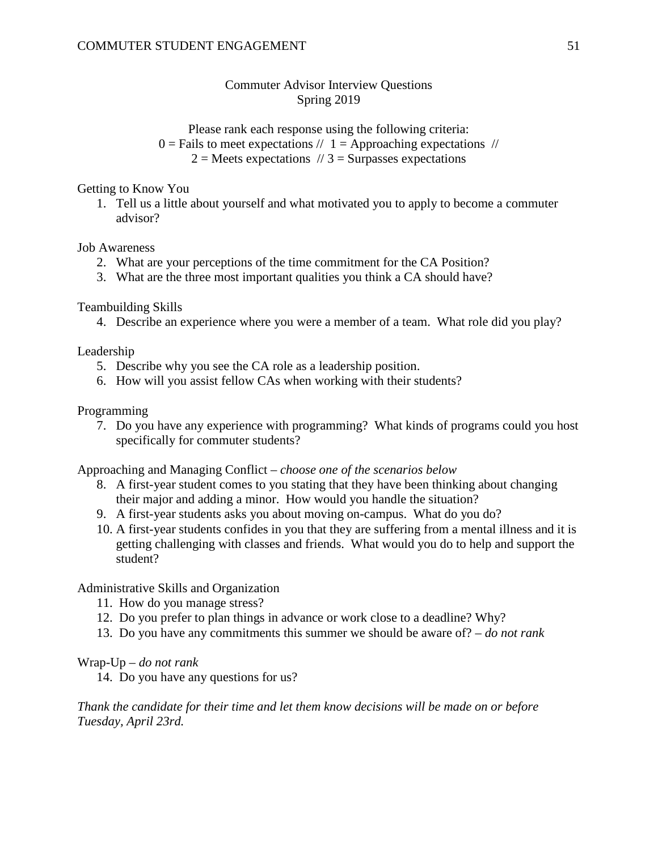# Commuter Advisor Interview Questions Spring 2019

Please rank each response using the following criteria:  $0 =$  Fails to meet expectations  $// 1 =$  Approaching expectations  $//$  $2 =$  Meets expectations  $1/3 =$  Surpasses expectations

### Getting to Know You

1. Tell us a little about yourself and what motivated you to apply to become a commuter advisor?

### Job Awareness

- 2. What are your perceptions of the time commitment for the CA Position?
- 3. What are the three most important qualities you think a CA should have?

Teambuilding Skills

4. Describe an experience where you were a member of a team. What role did you play?

Leadership

- 5. Describe why you see the CA role as a leadership position.
- 6. How will you assist fellow CAs when working with their students?

Programming

7. Do you have any experience with programming? What kinds of programs could you host specifically for commuter students?

Approaching and Managing Conflict – *choose one of the scenarios below*

- 8. A first-year student comes to you stating that they have been thinking about changing their major and adding a minor. How would you handle the situation?
- 9. A first-year students asks you about moving on-campus. What do you do?
- 10. A first-year students confides in you that they are suffering from a mental illness and it is getting challenging with classes and friends. What would you do to help and support the student?

### Administrative Skills and Organization

- 11. How do you manage stress?
- 12. Do you prefer to plan things in advance or work close to a deadline? Why?
- 13. Do you have any commitments this summer we should be aware of? *do not rank*

### Wrap-Up – *do not rank*

14. Do you have any questions for us?

*Thank the candidate for their time and let them know decisions will be made on or before Tuesday, April 23rd.*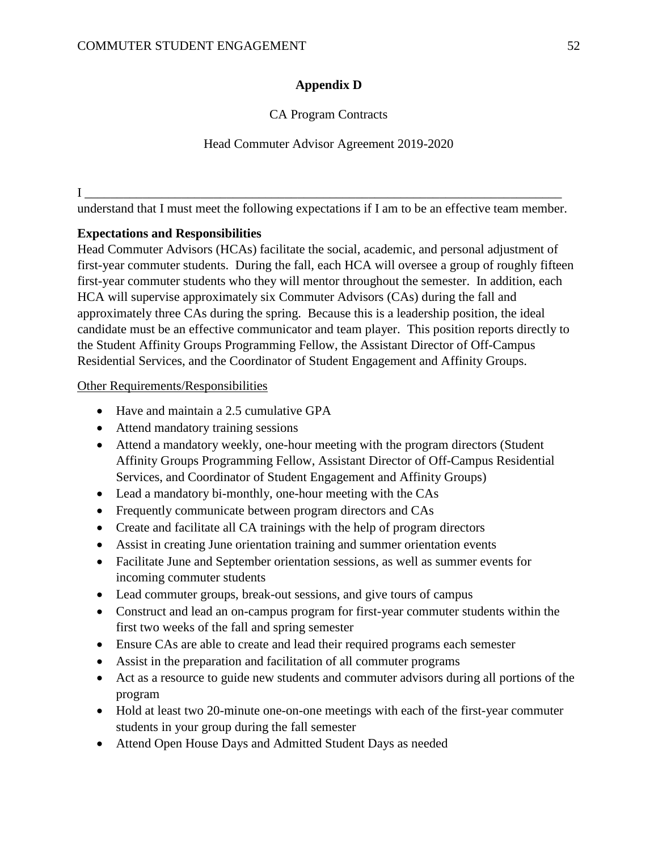# **Appendix D**

# CA Program Contracts

## Head Commuter Advisor Agreement 2019-2020

I \_\_\_\_\_\_\_\_\_\_\_\_\_\_\_\_\_\_\_\_\_\_\_\_\_\_\_\_\_\_\_\_\_\_\_\_\_\_\_\_\_\_\_\_\_\_\_\_\_\_\_\_\_\_\_\_\_\_\_\_\_\_\_\_\_\_\_\_\_\_\_\_\_\_

understand that I must meet the following expectations if I am to be an effective team member.

# **Expectations and Responsibilities**

Head Commuter Advisors (HCAs) facilitate the social, academic, and personal adjustment of first-year commuter students. During the fall, each HCA will oversee a group of roughly fifteen first-year commuter students who they will mentor throughout the semester. In addition, each HCA will supervise approximately six Commuter Advisors (CAs) during the fall and approximately three CAs during the spring. Because this is a leadership position, the ideal candidate must be an effective communicator and team player. This position reports directly to the Student Affinity Groups Programming Fellow, the Assistant Director of Off-Campus Residential Services, and the Coordinator of Student Engagement and Affinity Groups.

### Other Requirements/Responsibilities

- Have and maintain a 2.5 cumulative GPA
- Attend mandatory training sessions
- Attend a mandatory weekly, one-hour meeting with the program directors (Student Affinity Groups Programming Fellow, Assistant Director of Off-Campus Residential Services, and Coordinator of Student Engagement and Affinity Groups)
- Lead a mandatory bi-monthly, one-hour meeting with the CAs
- Frequently communicate between program directors and CAs
- Create and facilitate all CA trainings with the help of program directors
- Assist in creating June orientation training and summer orientation events
- Facilitate June and September orientation sessions, as well as summer events for incoming commuter students
- Lead commuter groups, break-out sessions, and give tours of campus
- Construct and lead an on-campus program for first-year commuter students within the first two weeks of the fall and spring semester
- Ensure CAs are able to create and lead their required programs each semester
- Assist in the preparation and facilitation of all commuter programs
- Act as a resource to guide new students and commuter advisors during all portions of the program
- Hold at least two 20-minute one-on-one meetings with each of the first-year commuter students in your group during the fall semester
- Attend Open House Days and Admitted Student Days as needed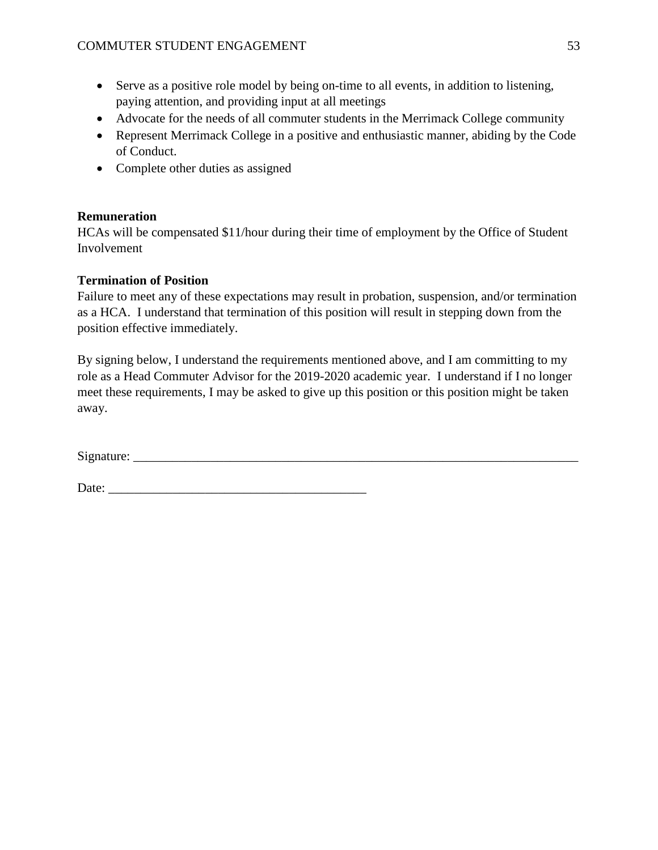- Serve as a positive role model by being on-time to all events, in addition to listening, paying attention, and providing input at all meetings
- Advocate for the needs of all commuter students in the Merrimack College community
- Represent Merrimack College in a positive and enthusiastic manner, abiding by the Code of Conduct.
- Complete other duties as assigned

# **Remuneration**

HCAs will be compensated \$11/hour during their time of employment by the Office of Student Involvement

# **Termination of Position**

Failure to meet any of these expectations may result in probation, suspension, and/or termination as a HCA. I understand that termination of this position will result in stepping down from the position effective immediately.

By signing below, I understand the requirements mentioned above, and I am committing to my role as a Head Commuter Advisor for the 2019-2020 academic year. I understand if I no longer meet these requirements, I may be asked to give up this position or this position might be taken away.

Signature: \_\_\_\_\_\_\_\_\_\_\_\_\_\_\_\_\_\_\_\_\_\_\_\_\_\_\_\_\_\_\_\_\_\_\_\_\_\_\_\_\_\_\_\_\_\_\_\_\_\_\_\_\_\_\_\_\_\_\_\_\_\_\_\_\_\_\_\_\_

Date: \_\_\_\_\_\_\_\_\_\_\_\_\_\_\_\_\_\_\_\_\_\_\_\_\_\_\_\_\_\_\_\_\_\_\_\_\_\_\_\_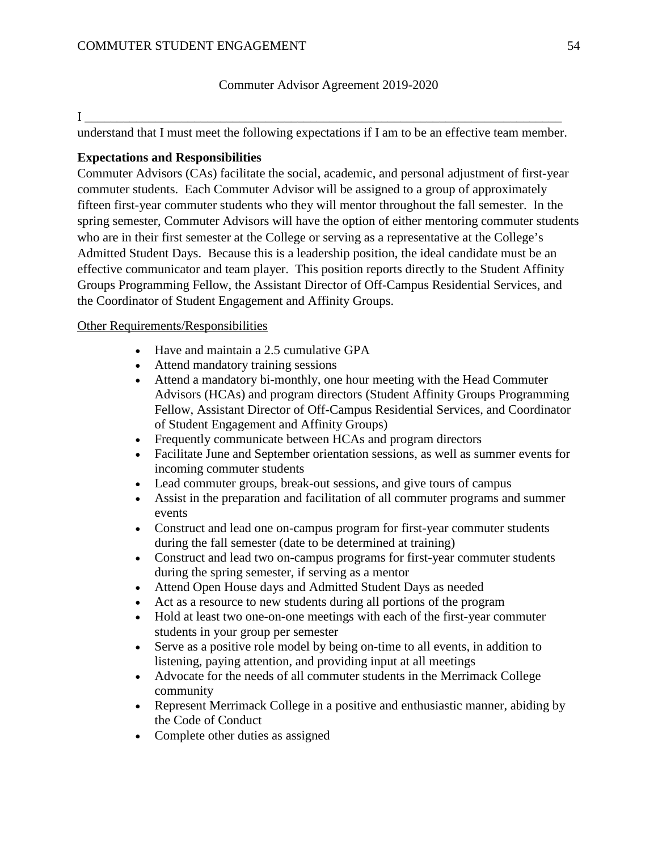### Commuter Advisor Agreement 2019-2020

#### $\mathbf{I}$   $\blacksquare$

understand that I must meet the following expectations if I am to be an effective team member.

### **Expectations and Responsibilities**

Commuter Advisors (CAs) facilitate the social, academic, and personal adjustment of first-year commuter students. Each Commuter Advisor will be assigned to a group of approximately fifteen first-year commuter students who they will mentor throughout the fall semester. In the spring semester, Commuter Advisors will have the option of either mentoring commuter students who are in their first semester at the College or serving as a representative at the College's Admitted Student Days. Because this is a leadership position, the ideal candidate must be an effective communicator and team player. This position reports directly to the Student Affinity Groups Programming Fellow, the Assistant Director of Off-Campus Residential Services, and the Coordinator of Student Engagement and Affinity Groups.

### Other Requirements/Responsibilities

- Have and maintain a 2.5 cumulative GPA
- Attend mandatory training sessions
- Attend a mandatory bi-monthly, one hour meeting with the Head Commuter Advisors (HCAs) and program directors (Student Affinity Groups Programming Fellow, Assistant Director of Off-Campus Residential Services, and Coordinator of Student Engagement and Affinity Groups)
- Frequently communicate between HCAs and program directors
- Facilitate June and September orientation sessions, as well as summer events for incoming commuter students
- Lead commuter groups, break-out sessions, and give tours of campus
- Assist in the preparation and facilitation of all commuter programs and summer events
- Construct and lead one on-campus program for first-year commuter students during the fall semester (date to be determined at training)
- Construct and lead two on-campus programs for first-year commuter students during the spring semester, if serving as a mentor
- Attend Open House days and Admitted Student Days as needed
- Act as a resource to new students during all portions of the program
- Hold at least two one-on-one meetings with each of the first-year commuter students in your group per semester
- Serve as a positive role model by being on-time to all events, in addition to listening, paying attention, and providing input at all meetings
- Advocate for the needs of all commuter students in the Merrimack College community
- Represent Merrimack College in a positive and enthusiastic manner, abiding by the Code of Conduct
- Complete other duties as assigned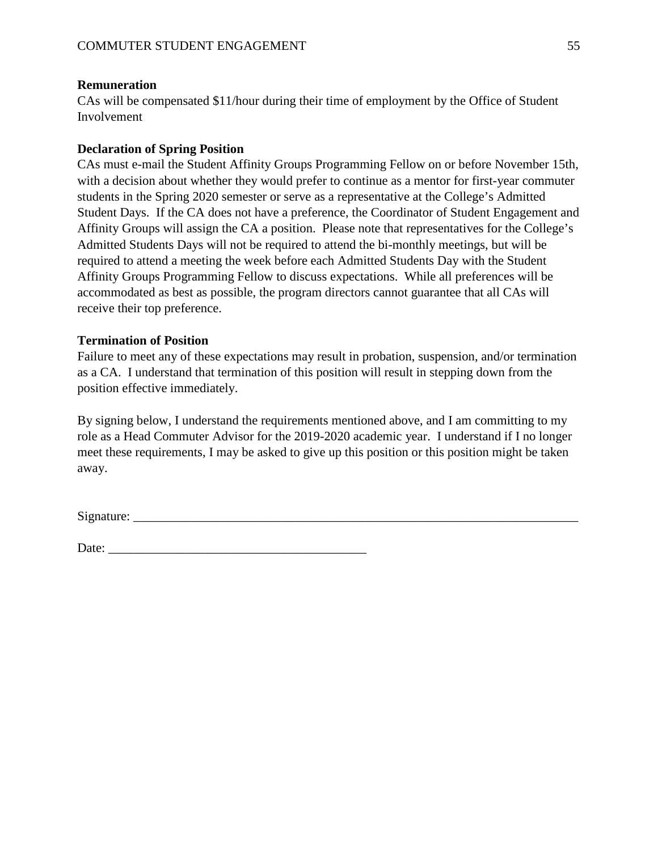### **Remuneration**

CAs will be compensated \$11/hour during their time of employment by the Office of Student Involvement

### **Declaration of Spring Position**

CAs must e-mail the Student Affinity Groups Programming Fellow on or before November 15th, with a decision about whether they would prefer to continue as a mentor for first-year commuter students in the Spring 2020 semester or serve as a representative at the College's Admitted Student Days. If the CA does not have a preference, the Coordinator of Student Engagement and Affinity Groups will assign the CA a position. Please note that representatives for the College's Admitted Students Days will not be required to attend the bi-monthly meetings, but will be required to attend a meeting the week before each Admitted Students Day with the Student Affinity Groups Programming Fellow to discuss expectations. While all preferences will be accommodated as best as possible, the program directors cannot guarantee that all CAs will receive their top preference.

### **Termination of Position**

Failure to meet any of these expectations may result in probation, suspension, and/or termination as a CA. I understand that termination of this position will result in stepping down from the position effective immediately.

By signing below, I understand the requirements mentioned above, and I am committing to my role as a Head Commuter Advisor for the 2019-2020 academic year. I understand if I no longer meet these requirements, I may be asked to give up this position or this position might be taken away.

Signature:

Date: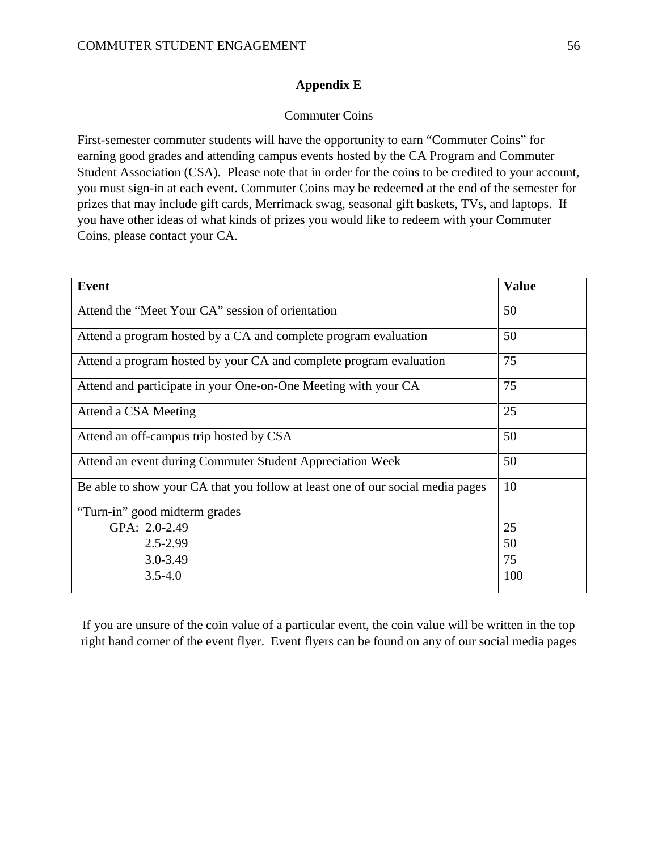### **Appendix E**

### Commuter Coins

First-semester commuter students will have the opportunity to earn "Commuter Coins" for earning good grades and attending campus events hosted by the CA Program and Commuter Student Association (CSA). Please note that in order for the coins to be credited to your account, you must sign-in at each event. Commuter Coins may be redeemed at the end of the semester for prizes that may include gift cards, Merrimack swag, seasonal gift baskets, TVs, and laptops. If you have other ideas of what kinds of prizes you would like to redeem with your Commuter Coins, please contact your CA.

| <b>Event</b>                                                                   | <b>Value</b> |
|--------------------------------------------------------------------------------|--------------|
| Attend the "Meet Your CA" session of orientation                               | 50           |
| Attend a program hosted by a CA and complete program evaluation                | 50           |
| Attend a program hosted by your CA and complete program evaluation             | 75           |
| Attend and participate in your One-on-One Meeting with your CA                 | 75           |
| Attend a CSA Meeting                                                           | 25           |
| Attend an off-campus trip hosted by CSA                                        | 50           |
| Attend an event during Commuter Student Appreciation Week                      | 50           |
| Be able to show your CA that you follow at least one of our social media pages | 10           |
| "Turn-in" good midterm grades                                                  |              |
| GPA: 2.0-2.49                                                                  | 25           |
| $2.5 - 2.99$                                                                   | 50           |
| $3.0 - 3.49$                                                                   | 75           |
| $3.5 - 4.0$                                                                    | 100          |

If you are unsure of the coin value of a particular event, the coin value will be written in the top right hand corner of the event flyer. Event flyers can be found on any of our social media pages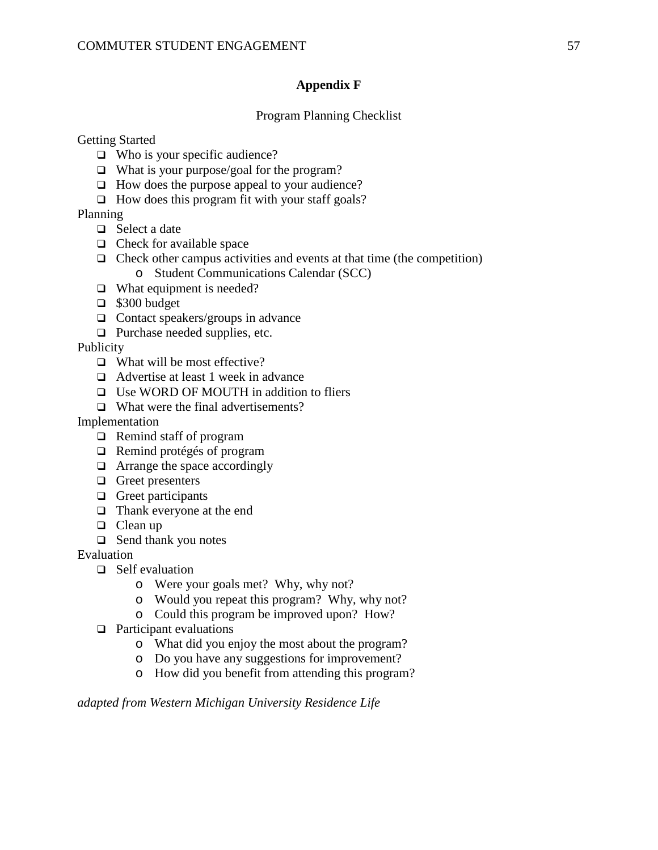## **Appendix F**

### Program Planning Checklist

Getting Started

- $\Box$  Who is your specific audience?
- $\Box$  What is your purpose/goal for the program?
- $\Box$  How does the purpose appeal to your audience?
- $\Box$  How does this program fit with your staff goals?

Planning

- $\Box$  Select a date
- $\Box$  Check for available space
- $\Box$  Check other campus activities and events at that time (the competition) o Student Communications Calendar (SCC)
- $\Box$  What equipment is needed?
- $\Box$  \$300 budget
- $\Box$  Contact speakers/groups in advance
- $\Box$  Purchase needed supplies, etc.

Publicity

- $\Box$  What will be most effective?
- □ Advertise at least 1 week in advance
- □ Use WORD OF MOUTH in addition to fliers
- $\Box$  What were the final advertisements?

Implementation

- $\Box$  Remind staff of program
- Remind protégés of program
- □ Arrange the space accordingly
- $\Box$  Greet presenters
- $\Box$  Greet participants
- □ Thank everyone at the end
- $\Box$  Clean up
- $\Box$  Send thank you notes

Evaluation

- □ Self evaluation
	- o Were your goals met? Why, why not?
	- o Would you repeat this program? Why, why not?
		- o Could this program be improved upon? How?
- $\Box$  Participant evaluations
	- o What did you enjoy the most about the program?
	- o Do you have any suggestions for improvement?
	- o How did you benefit from attending this program?

*adapted from Western Michigan University Residence Life*